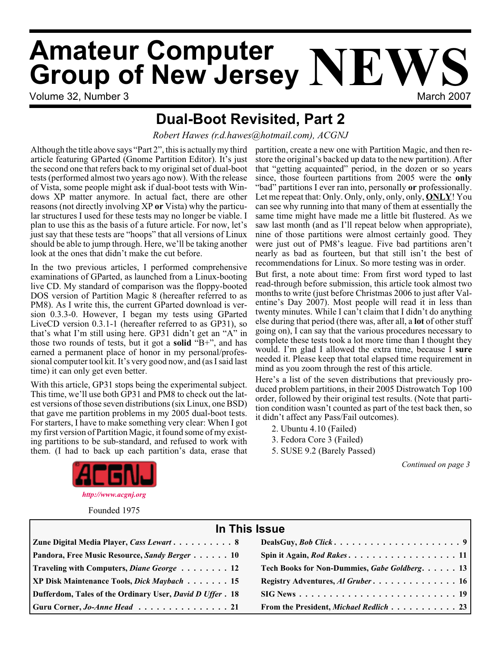# **Amateur Computer AMATRALE COMPUTER NEWS**<br>**Group of New Jersey NEW**

Volume 32, Number 3 March 2007 - Web 1999 March 2007 - March 2007

## **Dual-Boot Revisited, Part 2**

*Robert Hawes (r.d.hawes@hotmail.com), ACGNJ*

Although the title above says "Part 2", this is actually my third partition, create a new one with Partition Magic, and then rearticle featuring GParted (Gnome Partition Editor). It's just the second one that refers back to my original set of dual-boot tests (performed almost two years ago now). With the release of Vista, some people might ask if dual-boot tests with Windows XP matter anymore. In actual fact, there are other reasons (not directly involving XP **or** Vista) why the particular structures I used for these tests may no longer be viable. I plan to use this as the basis of a future article. For now, let's just say that these tests are "hoops" that all versions of Linux should be able to jump through. Here, we'll be taking another look at the ones that didn't make the cut before.

In the two previous articles, I performed comprehensive examinations of GParted, as launched from a Linux-booting live CD. My standard of comparison was the floppy-booted DOS version of Partition Magic 8 (hereafter referred to as PM8). As I write this, the current GParted download is version 0.3.3-0. However, I began my tests using GParted LiveCD version 0.3.1-1 (hereafter referred to as GP31), so that's what I'm still using here. GP31 didn't get an "A" in those two rounds of tests, but it got a **solid** "B+", and has earned a permanent place of honor in my personal/professional computer tool kit. It's very good now, and (as I said last time) it can only get even better.

With this article, GP31 stops being the experimental subject. This time, we'll use both GP31 and PM8 to check out the latest versions of those seven distributions (six Linux, one BSD) that gave me partition problems in my 2005 dual-boot tests. For starters, I have to make something very clear: When I got my first version of Partition Magic, it found some of my existing partitions to be sub-standard, and refused to work with them. (I had to back up each partition's data, erase that store the original's backed up data to the new partition). After that "getting acquainted" period, in the dozen or so years since, those fourteen partitions from 2005 were the **only** "bad" partitions I ever ran into, personally **or** professionally. Let me repeat that: Only. Only, only, only, only, **ONLY**! You can see why running into that many of them at essentially the same time might have made me a little bit flustered. As we saw last month (and as I'll repeat below when appropriate), nine of those partitions were almost certainly good. They were just out of PM8's league. Five bad partitions aren't nearly as bad as fourteen, but that still isn't the best of recommendations for Linux. So more testing was in order.

But first, a note about time: From first word typed to last read-through before submission, this article took almost two months to write (just before Christmas 2006 to just after Valentine's Day 2007). Most people will read it in less than twenty minutes. While I can't claim that I didn't do anything else during that period (there was, after all, a **lot** of other stuff going on), I can say that the various procedures necessary to complete these tests took a lot more time than I thought they would. I'm glad I allowed the extra time, because I **sure** needed it. Please keep that total elapsed time requirement in mind as you zoom through the rest of this article.

Here's a list of the seven distributions that previously produced problem partitions, in their 2005 Distrowatch Top 100 order, followed by their original test results. (Note that partition condition wasn't counted as part of the test back then, so it didn't affect any Pass/Fail outcomes).

- 2. Ubuntu 4.10 (Failed)
- 3. Fedora Core 3 (Failed)
- 5. SUSE 9.2 (Barely Passed)

*Continued on page 3*



Founded 1975

#### **In This Issue Zune Digital Media Player,** *Cass Lewart* **..........8 DealsGuy,** *Bob Click* **.....................9 Pandora, Free Music Resource,** *Sandy Berger* **. . . . . . 10 Spin it Again,** *Rod Rakes***. . . . . . . . . . . . . . . . . . 11 Traveling with Computers,** *Diane George* **. . . . . . . . 12 Tech Books for Non-Dummies,** *Gabe Goldberg***. . . . . . 13 XP Disk Maintenance Tools,** *Dick Maybach* **. . . . . . . 15 Registry Adventures,** *Al Gruber* **. . . . . . . . . . . . . . 16 Dufferdom, Tales of the Ordinary User,** *David D Uffer* **. 18 SIG News . . . . . . . . . . . . . . . . . . . . . . . . . . 19 Guru Corner,** *Jo-Anne Head* **. . . . . . . . . . . . . . . 21 From the President,** *Michael Redlich* **. . . . . . . . . . . 23**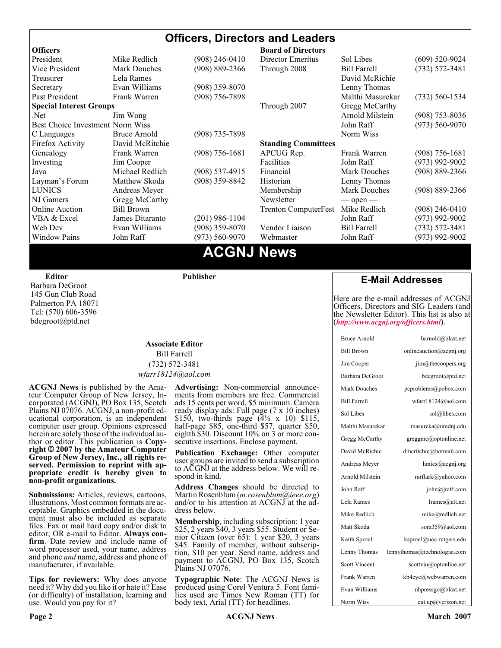#### **Officers, Directors and Leaders Officers Board of Directors**<br> **President Director Mike Redlich** (908) 246-0410 **Director Emeritus** President Mike Alexander Mike Sol Libes (609) 520-9024<br>
President Mike Bill Farrell (732) 572-3481<br>
President Mike Bill Farrell (732) 572-3481 Vice President Mark Douches (908) 889-2366 Through 2008 Bill Farrell (732) 572-3481 Treasurer Lela Rames **David McRichie** David McRichie Secretary Evan Williams (908) 359-8070 Lenny Thomas Past President Frank Warren (908) 756-7898 Malthi Masurekar (732) 560-1534 **Special Interest Groups** Through 2007 Gregg McCarthy Net Jim Wong 31 Jim Wong 2008) 353-8036 Best Choice Investment Norm Wiss<br>
C Languages Bruce Arnold (908) 735-7898 (908) 700 Morm Wiss (973) 560-9070 C Languages Bruce Arnold (908) 735-7898<br>Firefox Activity David McRitchie Firefox Activity David McRitchie **Standing Committees** Genealogy Frank Warren (908) 756-1681 APCUG Rep. Frank Warren (908) 756-1681 Investing Jim Cooper Facilities Facilities John Raff (973) 992-9002<br>Java Michael Redlich (908) 537-4915 Financial Mark Douches (908) 889-2366 Java Michael Redlich (908) 537-4915 Financial Mark Douches (908) 889-2366 Layman's Forum Matthew Skoda (908) 359-8842 Historian Lenny Thomas LUNICS Andreas Meyer Membership Mark Douches (908) 889-2366 NJ Gamers Gregg McCarthy Newsletter — open — open — Online Auction Bill Brown Trenton ComputerFest Mike Redlich (908) 246-0410 VBA & Excel James Ditaranto (201) 986-1104 John Raff (973) 992-9002 Web Dev Evan Williams (908) 359-8070 Vendor Liaison Bill Farrell (732) 572-3481 Window Pains John Raff (973) 560-9070 Webmaster John Raff (973) 992-9002

### **ACGNJ News**

**Editor**

Barbara DeGroot 145 Gun Club Road Palmerton PA 18071 Tel: (570) 606-3596 bdegroot@ptd.net

**Publisher**

#### **Associate Editor** Bill Farrell (732) 572-3481 *wfarr18124@aol.com*

**ACGNJ News** is published by the Ama- teur Computer Group of New Jersey, In- corporated (ACGNJ), PO Box 135, Scotch Plains NJ 07076. ACGNJ, a non-profit ed-<br>ucational corporation, is an independent computer user group. Opinions expressed<br>herein are solely those of the individual author or editor. This publication is **Copy-**<br>right © 2007 by the Amateur Computer<br>Group of New Jersey, Inc., all rights re-**Group of New Jersey, Inc., all rights re- served. Permission to reprint with ap- propriate credit is hereby given to non-profit organizations.**

**Submissions:** Articles, reviews, cartoons, illustrations. Most common formats are acceptable. Graphics embedded in the docu-<br>ment must also be included as separate files. Fax or mail hard copy and/or disk to editor: OR e-mail to Editor. **Always con**firm. Date review and include name of word processor used, your name, address and phone *and* name, address and phone of manufacturer, if available.

**Tips for reviewers:** Why does anyone need it? Why did you like it or hate it? Ease (or difficulty) of installation, learning and use. Would you pay for it?

**Advertising:** Non-commercial announce- ments from members are free. Commercial ads 15 cents per word, \$5 minimum. Camera ready display ads: Full page (7 x 10 inches) \$150, two-thirds page (4½ x 10) \$115, half-page \$85, one-third \$57, quarter \$50, eighth \$30. Discount 10% on 3 or more con- secutive insertions. Enclose payment.

**Publication Exchange:** Other computer user groups are invited to send a subscription to ACGNJ at the address below. We will re- spond in kind.

**Address Changes** should be directed to Martin Rosenblum (*m.rosenblum@ieee.org*) and/or to his attention at ACGNJ at the ad- dress below.

**Membership**, including subscription: 1 year \$25, 2 years \$40, 3 years \$55. Student or Senior Citizen (over 65): 1 year \$20, 3 years \$45. Family of member, without subscription, \$10 per year. Send name, address and payment to ACGNJ, PO Box 135, Scotch Plains NJ 07076.

**Typographic Note**: The ACGNJ News is produced using Corel Ventura 5. Font fami- lies used are Times New Roman (TT) for body text, Arial (TT) for headlines.

#### **E-Mail Addresses**

Here are the e-mail addresses of ACGNJ Officers, Directors and SIG Leaders (and the Newsletter Editor). This list is also at (*<http://www.acgnj.org/officers.html>*).

| <b>Bruce Arnold</b>  | barnold@blast.net            |
|----------------------|------------------------------|
| <b>Bill Brown</b>    | onlineauction@acgnj.org      |
| Jim Cooper           | jim@thecoopers.org           |
| Barbara DeGroot      | bdegroot@ptd.net             |
| <b>Mark Douches</b>  | pcproblems@pobox.com         |
| <b>Bill Farrell</b>  | wfarr18124@aol.com           |
| Sol Libes            | sol@libes.com                |
| Malthi Masurekar     | masureka@umdnj.edu           |
| Gregg McCarthy       | greggmc@optonline.net        |
| David McRichie       | dmcritchie@hotmail.com       |
| Andreas Meyer        | lunics@acgnj.org             |
| Arnold Milstein      | mrflark@yahoo.com            |
| John Raff            | john@jraff.com               |
| Lela Rames           | lrames@att.net               |
| Mike Redlich         | mike@redlich.net             |
| Matt Skoda           | som359@aol.com               |
| Keith Sproul         | ksproul@noc.rutgers.edu      |
| Lenny Thomas         | lennythomas@technologist.com |
| <b>Scott Vincent</b> | scottvin@optonline.net       |
| Frank Warren         | kb4cyc@webwarren.com         |
| Evan Williams        | nhpressgo@blast.net          |
| Norm Wiss            | cut.up@verizon.net           |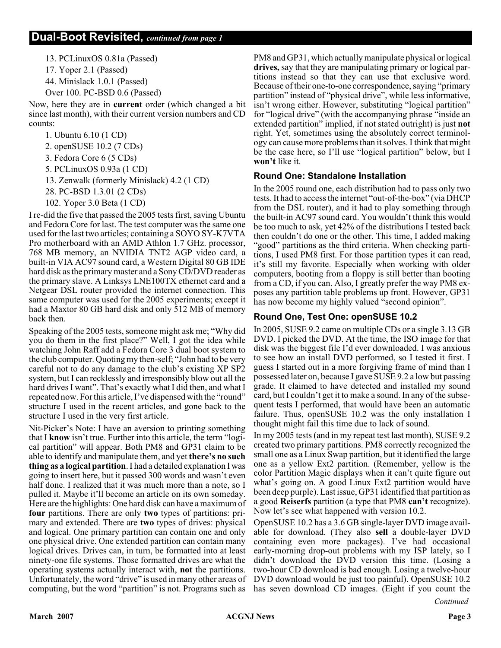13. PCLinuxOS 0.81a (Passed) 17. Yoper 2.1 (Passed) 44. Minislack 1.0.1 (Passed) Over 100. PC-BSD 0.6 (Passed)

Now, here they are in **current** order (which changed a bit since last month), with their current version numbers and CD counts:

1. Ubuntu 6.10 (1 CD) 2. openSUSE 10.2 (7 CDs) 3. Fedora Core 6 (5 CDs) 5. PCLinuxOS 0.93a (1 CD) 13. Zenwalk (formerly Minislack) 4.2 (1 CD) 28. PC-BSD 1.3.01 (2 CDs) 102. Yoper 3.0 Beta (1 CD)

I re-did the five that passed the 2005 tests first, saving Ubuntu and Fedora Core for last. The test computer was the same one used for the last two articles; containing a SOYO SY-K7VTA Pro motherboard with an AMD Athlon 1.7 GHz. processor, 768 MB memory, an NVIDIA TNT2 AGP video card, a built-in VIA AC97 sound card, a Western Digital 80 GB IDE hard disk as the primary master and a Sony CD/DVD reader as the primary slave. A Linksys LNE100TX ethernet card and a Netgear DSL router provided the internet connection. This same computer was used for the 2005 experiments; except it had a Maxtor 80 GB hard disk and only 512 MB of memory back then.

Speaking of the 2005 tests, someone might ask me; "Why did you do them in the first place?" Well, I got the idea while watching John Raff add a Fedora Core 3 dual boot system to the club computer. Quoting my then-self; "John had to be very careful not to do any damage to the club's existing XP SP2 system, but I can recklessly and irresponsibly blow out all the hard drives I want". That's exactly what I did then, and what I repeated now. For this article, I've dispensed with the "round" structure I used in the recent articles, and gone back to the structure I used in the very first article.

Nit-Picker's Note: I have an aversion to printing something that I **know** isn't true. Further into this article, the term "logical partition" will appear. Both PM8 and GP31 claim to be able to identify and manipulate them, and yet **there's no such thing as a logical partition**. I had a detailed explanation I was going to insert here, but it passed 300 words and wasn't even half done. I realized that it was much more than a note, so I pulled it. Maybe it'll become an article on its own someday. Here are the highlights: One hard disk can have a maximum of **four** partitions. There are only **two** types of partitions: primary and extended. There are **two** types of drives: physical and logical. One primary partition can contain one and only one physical drive. One extended partition can contain many logical drives. Drives can, in turn, be formatted into at least ninety-one file systems. Those formatted drives are what the operating systems actually interact with, **not** the partitions. Unfortunately, the word "drive" is used in many other areas of computing, but the word "partition" is not. Programs such as

PM8 and GP31, which actually manipulate physical or logical **drives,** say that they are manipulating primary or logical partitions instead so that they can use that exclusive word. Because of their one-to-one correspondence, saying "primary partition" instead of "physical drive", while less informative, isn't wrong either. However, substituting "logical partition" for "logical drive" (with the accompanying phrase "inside an extended partition" implied, if not stated outright) is just **not** right. Yet, sometimes using the absolutely correct terminology can cause more problems than it solves. I think that might be the case here, so I'll use "logical partition" below, but I **won't** like it.

#### **Round One: Standalone Installation**

In the 2005 round one, each distribution had to pass only two tests. It had to access the internet "out-of-the-box" (via DHCP from the DSL router), and it had to play something through the built-in AC97 sound card. You wouldn't think this would be too much to ask, yet 42% of the distributions I tested back then couldn't do one or the other. This time, I added making "good" partitions as the third criteria. When checking partitions, I used PM8 first. For those partition types it can read, it's still my favorite. Especially when working with older computers, booting from a floppy is still better than booting from a CD, if you can. Also, I greatly prefer the way PM8 exposes any partition table problems up front. However, GP31 has now become my highly valued "second opinion".

#### **Round One, Test One: openSUSE 10.2**

In 2005, SUSE 9.2 came on multiple CDs or a single 3.13 GB DVD. I picked the DVD. At the time, the ISO image for that disk was the biggest file I'd ever downloaded. I was anxious to see how an install DVD performed, so I tested it first. I guess I started out in a more forgiving frame of mind than I possessed later on, because I gave SUSE 9.2 a low but passing grade. It claimed to have detected and installed my sound card, but I couldn't get it to make a sound. In any of the subsequent tests I performed, that would have been an automatic failure. Thus, openSUSE 10.2 was the only installation I thought might fail this time due to lack of sound.

In my 2005 tests (and in my repeat test last month), SUSE 9.2 created two primary partitions. PM8 correctly recognized the small one as a Linux Swap partition, but it identified the large one as a yellow Ext2 partition. (Remember, yellow is the color Partition Magic displays when it can't quite figure out what's going on. A good Linux Ext2 partition would have been deep purple). Last issue, GP31 identified that partition as a good **Reiserfs** partition (a type that PM8 **can't** recognize). Now let's see what happened with version 10.2.

OpenSUSE 10.2 has a 3.6 GB single-layer DVD image available for download. (They also **sell** a double-layer DVD containing even more packages). I've had occasional early-morning drop-out problems with my ISP lately, so I didn't download the DVD version this time. (Losing a two-hour CD download is bad enough. Losing a twelve-hour DVD download would be just too painful). OpenSUSE 10.2 has seven download CD images. (Eight if you count the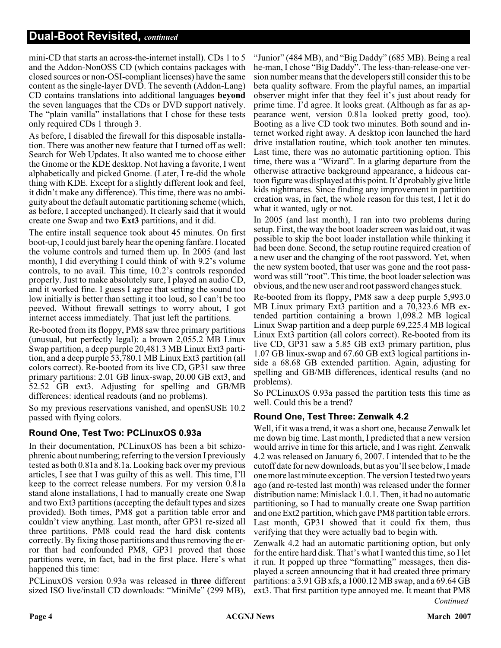mini-CD that starts an across-the-internet install). CDs 1 to 5 and the Addon-NonOSS CD (which contains packages with closed sources or non-OSI-compliant licenses) have the same content as the single-layer DVD. The seventh (Addon-Lang) CD contains translations into additional languages **beyond** the seven languages that the CDs or DVD support natively. The "plain vanilla" installations that I chose for these tests only required CDs 1 through 3.

As before, I disabled the firewall for this disposable installation. There was another new feature that I turned off as well: Search for Web Updates. It also wanted me to choose either the Gnome or the KDE desktop. Not having a favorite, I went alphabetically and picked Gnome. (Later, I re-did the whole thing with KDE. Except for a slightly different look and feel, it didn't make any difference). This time, there was no ambiguity about the default automatic partitioning scheme (which, as before, I accepted unchanged). It clearly said that it would create one Swap and two **Ext3** partitions, and it did.

The entire install sequence took about 45 minutes. On first boot-up, I could just barely hear the opening fanfare. I located the volume controls and turned them up. In 2005 (and last month), I did everything I could think of with 9.2's volume controls, to no avail. This time, 10.2's controls responded properly. Just to make absolutely sure, I played an audio CD, and it worked fine. I guess I agree that setting the sound too low initially is better than setting it too loud, so I can't be too peeved. Without firewall settings to worry about, I got internet access immediately. That just left the partitions.

Re-booted from its floppy, PM8 saw three primary partitions (unusual, but perfectly legal): a brown 2,055.2 MB Linux Swap partition, a deep purple 20,481.3 MB Linux Ext3 partition, and a deep purple 53,780.1 MB Linux Ext3 partition (all colors correct). Re-booted from its live CD, GP31 saw three primary partitions: 2.01 GB linux-swap, 20.00 GB ext3, and 52.52 GB ext3. Adjusting for spelling and GB/MB differences: identical readouts (and no problems).

So my previous reservations vanished, and openSUSE 10.2 passed with flying colors.

#### **Round One, Test Two: PCLinuxOS 0.93a**

In their documentation, PCLinuxOS has been a bit schizophrenic about numbering; referring to the version I previously tested as both 0.81a and 8.1a. Looking back over my previous articles, I see that I was guilty of this as well. This time, I'll keep to the correct release numbers. For my version 0.81a stand alone installations, I had to manually create one Swap and two Ext3 partitions (accepting the default types and sizes provided). Both times, PM8 got a partition table error and couldn't view anything. Last month, after GP31 re-sized all three partitions, PM8 could read the hard disk contents correctly. By fixing those partitions and thus removing the error that had confounded PM8, GP31 proved that those partitions were, in fact, bad in the first place. Here's what happened this time:

PCLinuxOS version 0.93a was released in **three** different sized ISO live/install CD downloads: "MiniMe" (299 MB),

"Junior" (484 MB), and "Big Daddy" (685 MB). Being a real he-man, I chose "Big Daddy". The less-than-release-one version number means that the developers still consider this to be beta quality software. From the playful names, an impartial observer might infer that they feel it's just about ready for prime time. I'd agree. It looks great. (Although as far as appearance went, version 0.81a looked pretty good, too). Booting as a live CD took two minutes. Both sound and internet worked right away. A desktop icon launched the hard drive installation routine, which took another ten minutes. Last time, there was no automatic partitioning option. This time, there was a "Wizard". In a glaring departure from the otherwise attractive background appearance, a hideous cartoon figure was displayed at this point. It'd probably give little kids nightmares. Since finding any improvement in partition creation was, in fact, the whole reason for this test, I let it do what it wanted, ugly or not.

In 2005 (and last month), I ran into two problems during setup. First, the way the boot loader screen was laid out, it was possible to skip the boot loader installation while thinking it had been done. Second, the setup routine required creation of a new user and the changing of the root password. Yet, when the new system booted, that user was gone and the root password was still "root". This time, the boot loader selection was obvious, and the new user and root password changes stuck.

Re-booted from its floppy, PM8 saw a deep purple 5,993.0 MB Linux primary Ext3 partition and a 70,323.6 MB extended partition containing a brown 1,098.2 MB logical Linux Swap partition and a deep purple 69,225.4 MB logical Linux Ext3 partition (all colors correct). Re-booted from its live CD, GP31 saw a 5.85 GB ext3 primary partition, plus 1.07 GB linux-swap and 67.60 GB ext3 logical partitions inside a 68.68 GB extended partition. Again, adjusting for spelling and GB/MB differences, identical results (and no problems).

So PCLinuxOS 0.93a passed the partition tests this time as well. Could this be a trend?

#### **Round One, Test Three: Zenwalk 4.2**

Well, if it was a trend, it was a short one, because Zenwalk let me down big time. Last month, I predicted that a new version would arrive in time for this article, and I was right. Zenwalk 4.2 was released on January 6, 2007. I intended that to be the cutoff date for new downloads, but as you'll see below, I made one more last minute exception. The version I tested two years ago (and re-tested last month) was released under the former distribution name: Minislack 1.0.1. Then, it had no automatic partitioning, so I had to manually create one Swap partition and one Ext2 partition, which gave PM8 partition table errors. Last month, GP31 showed that it could fix them, thus verifying that they were actually bad to begin with.

Zenwalk 4.2 had an automatic partitioning option, but only for the entire hard disk. That's what I wanted this time, so I let it run. It popped up three "formatting" messages, then displayed a screen announcing that it had created three primary partitions: a 3.91 GB xfs, a 1000.12 MB swap, and a 69.64 GB ext3. That first partition type annoyed me. It meant that PM8 *Continued*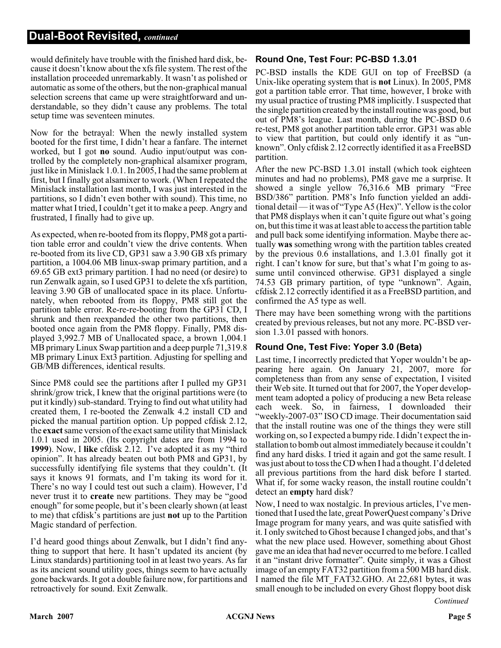would definitely have trouble with the finished hard disk, because it doesn't know about the xfs file system. The rest of the installation proceeded unremarkably. It wasn't as polished or automatic as some of the others, but the non-graphical manual selection screens that came up were straightforward and understandable, so they didn't cause any problems. The total setup time was seventeen minutes.

Now for the betrayal: When the newly installed system booted for the first time, I didn't hear a fanfare. The internet worked, but I got **no** sound. Audio input/output was controlled by the completely non-graphical alsamixer program, just like in Minislack 1.0.1. In 2005, I had the same problem at first, but I finally got alsamixer to work. (When I repeated the Minislack installation last month, I was just interested in the partitions, so I didn't even bother with sound). This time, no matter what I tried, I couldn't get it to make a peep. Angry and frustrated, I finally had to give up.

As expected, when re-booted from its floppy, PM8 got a partition table error and couldn't view the drive contents. When re-booted from its live CD, GP31 saw a 3.90 GB xfs primary partition, a 1004.06 MB linux-swap primary partition, and a 69.65 GB ext3 primary partition. I had no need (or desire) to run Zenwalk again, so I used GP31 to delete the xfs partition, leaving 3.90 GB of unallocated space in its place. Unfortunately, when rebooted from its floppy, PM8 still got the partition table error. Re-re-re-booting from the GP31 CD, I shrunk and then reexpanded the other two partitions, then booted once again from the PM8 floppy. Finally, PM8 displayed 3,992.7 MB of Unallocated space, a brown 1,004.1 MB primary Linux Swap partition and a deep purple 71,319.8 MB primary Linux Ext3 partition. Adjusting for spelling and GB/MB differences, identical results.

Since PM8 could see the partitions after I pulled my GP31 shrink/grow trick, I knew that the original partitions were (to put it kindly) sub-standard. Trying to find out what utility had created them, I re-booted the Zenwalk 4.2 install CD and picked the manual partition option. Up popped cfdisk 2.12, the **exact**same version of the exact same utility that Minislack 1.0.1 used in 2005. (Its copyright dates are from 1994 to **1999**). Now, I **like** cfdisk 2.12. I've adopted it as my "third opinion". It has already beaten out both PM8 and GP31, by successfully identifying file systems that they couldn't. (It says it knows 91 formats, and I'm taking its word for it. There's no way I could test out such a claim). However, I'd never trust it to **create** new partitions. They may be "good enough" for some people, but it's been clearly shown (at least to me) that cfdisk's partitions are just **not** up to the Partition Magic standard of perfection.

I'd heard good things about Zenwalk, but I didn't find anything to support that here. It hasn't updated its ancient (by Linux standards) partitioning tool in at least two years. As far as its ancient sound utility goes, things seem to have actually gone backwards. It got a double failure now, for partitions and retroactively for sound. Exit Zenwalk.

#### **Round One, Test Four: PC-BSD 1.3.01**

PC-BSD installs the KDE GUI on top of FreeBSD (a Unix-like operating system that is **not** Linux). In 2005, PM8 got a partition table error. That time, however, I broke with my usual practice of trusting PM8 implicitly. I suspected that the single partition created by the install routine was good, but out of PM8's league. Last month, during the PC-BSD 0.6 re-test, PM8 got another partition table error. GP31 was able to view that partition, but could only identify it as "unknown". Only cfdisk 2.12 correctly identified it as a FreeBSD partition.

After the new PC-BSD 1.3.01 install (which took eighteen minutes and had no problems), PM8 gave me a surprise. It showed a single yellow 76,316.6 MB primary "Free BSD/386" partition. PM8's Info function yielded an additional detail — it was of "Type A5 (Hex)". Yellow is the color that PM8 displays when it can't quite figure out what's going on, but this time it was at least able to access the partition table and pull back some identifying information. Maybe there actually **was** something wrong with the partition tables created by the previous 0.6 installations, and 1.3.01 finally got it right. I can't know for sure, but that's what I'm going to assume until convinced otherwise. GP31 displayed a single 74.53 GB primary partition, of type "unknown". Again, cfdisk 2.12 correctly identified it as a FreeBSD partition, and confirmed the A5 type as well.

There may have been something wrong with the partitions created by previous releases, but not any more. PC-BSD version 1.3.01 passed with honors.

#### **Round One, Test Five: Yoper 3.0 (Beta)**

Last time, I incorrectly predicted that Yoper wouldn't be appearing here again. On January 21, 2007, more for completeness than from any sense of expectation, I visited their Web site. It turned out that for 2007, the Yoper development team adopted a policy of producing a new Beta release each week. So, in fairness, I downloaded their "weekly-2007-03" ISO CD image. Their documentation said that the install routine was one of the things they were still working on, so I expected a bumpy ride. I didn't expect the installation to bomb out almost immediately because it couldn't find any hard disks. I tried it again and got the same result. I was just about to toss the CD when I had a thought. I'd deleted all previous partitions from the hard disk before I started. What if, for some wacky reason, the install routine couldn't detect an **empty** hard disk?

Now, I need to wax nostalgic. In previous articles, I've mentioned that I used the late, great PowerQuest company's Drive Image program for many years, and was quite satisfied with it. I only switched to Ghost because I changed jobs, and that's what the new place used. However, something about Ghost gave me an idea that had never occurred to me before. I called it an "instant drive formatter". Quite simply, it was a Ghost image of an empty FAT32 partition from a 500 MB hard disk. I named the file MT\_FAT32.GHO. At 22,681 bytes, it was small enough to be included on every Ghost floppy boot disk

*Continued*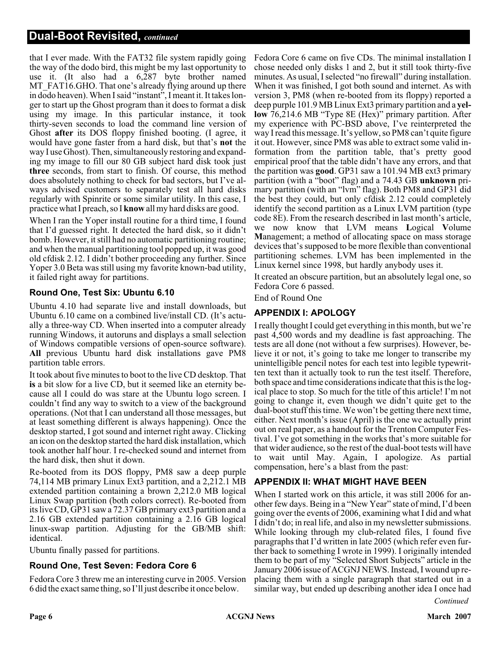that I ever made. With the FAT32 file system rapidly going the way of the dodo bird, this might be my last opportunity to use it. (It also had a 6,287 byte brother named MT\_FAT16.GHO. That one's already flying around up there in dodo heaven). When I said "instant", I meant it. It takes longer to start up the Ghost program than it does to format a disk using my image. In this particular instance, it took thirty-seven seconds to load the command line version of Ghost **after** its DOS floppy finished booting. (I agree, it would have gone faster from a hard disk, but that's **not** the way I use Ghost). Then, simultaneously restoring and expanding my image to fill our 80 GB subject hard disk took just **three** seconds, from start to finish. Of course, this method does absolutely nothing to check for bad sectors, but I've always advised customers to separately test all hard disks regularly with Spinrite or some similar utility. In this case, I practice what I preach, so I **know** all my hard disks are good.

When I ran the Yoper install routine for a third time, I found that I'd guessed right. It detected the hard disk, so it didn't bomb. However, it still had no automatic partitioning routine; and when the manual partitioning tool popped up, it was good old cfdisk 2.12. I didn't bother proceeding any further. Since Yoper 3.0 Beta was still using my favorite known-bad utility, it failed right away for partitions.

#### **Round One, Test Six: Ubuntu 6.10**

Ubuntu 4.10 had separate live and install downloads, but Ubuntu 6.10 came on a combined live/install CD. (It's actually a three-way CD. When inserted into a computer already running Windows, it autoruns and displays a small selection of Windows compatible versions of open-source software). **All** previous Ubuntu hard disk installations gave PM8 partition table errors.

It took about five minutes to boot to the live CD desktop. That **is** a bit slow for a live CD, but it seemed like an eternity because all I could do was stare at the Ubuntu logo screen. I couldn't find any way to switch to a view of the background operations. (Not that I can understand all those messages, but at least something different is always happening). Once the desktop started, I got sound and internet right away. Clicking an icon on the desktop started the hard disk installation, which took another half hour. I re-checked sound and internet from the hard disk, then shut it down.

Re-booted from its DOS floppy, PM8 saw a deep purple 74,114 MB primary Linux Ext3 partition, and a 2,212.1 MB extended partition containing a brown 2,212.0 MB logical Linux Swap partition (both colors correct). Re-booted from its live CD, GP31 saw a 72.37 GB primary ext3 partition and a 2.16 GB extended partition containing a 2.16 GB logical linux-swap partition. Adjusting for the GB/MB shift: identical.

Ubuntu finally passed for partitions.

#### **Round One, Test Seven: Fedora Core 6**

Fedora Core 3 threw me an interesting curve in 2005. Version 6 did the exact same thing, so I'll just describe it once below.

Fedora Core 6 came on five CDs. The minimal installation I chose needed only disks 1 and 2, but it still took thirty-five minutes. As usual, I selected "no firewall" during installation. When it was finished, I got both sound and internet. As with version 3, PM8 (when re-booted from its floppy) reported a deep purple 101.9 MB Linux Ext3 primary partition and a **yellow** 76,214.6 MB "Type 8E (Hex)" primary partition. After my experience with PC-BSD above, I've reinterpreted the way I read this message. It's yellow, so PM8 can't quite figure it out. However, since PM8 was able to extract some valid information from the partition table, that's pretty good empirical proof that the table didn't have any errors, and that the partition was **good**. GP31 saw a 101.94 MB ext3 primary partition (with a "boot" flag) and a 74.43 GB **unknown** primary partition (with an "lvm" flag). Both PM8 and GP31 did the best they could, but only cfdisk 2.12 could completely identify the second partition as a Linux LVM partition (type code 8E). From the research described in last month's article, we now know that LVM means **L**ogical **V**olume **M**anagement; a method of allocating space on mass storage devices that's supposed to be more flexible than conventional partitioning schemes. LVM has been implemented in the Linux kernel since 1998, but hardly anybody uses it.

It created an obscure partition, but an absolutely legal one, so Fedora Core 6 passed.

End of Round One

#### **APPENDIX I: APOLOGY**

I really thought I could get everything in this month, but we're past 4,500 words and my deadline is fast approaching. The tests are all done (not without a few surprises). However, believe it or not, it's going to take me longer to transcribe my unintelligible pencil notes for each test into legible typewritten text than it actually took to run the test itself. Therefore, both space and time considerations indicate that this is the logical place to stop. So much for the title of this article! I'm not going to change it, even though we didn't quite get to the dual-boot stuff this time. We won't be getting there next time, either. Next month's issue (April) is the one we actually print out on real paper, as a handout for the Trenton Computer Festival. I've got something in the works that's more suitable for that wider audience, so the rest of the dual-boot tests will have to wait until May. Again, I apologize. As partial compensation, here's a blast from the past:

#### **APPENDIX II: WHAT MIGHT HAVE BEEN**

When I started work on this article, it was still 2006 for another few days. Being in a "New Year" state of mind, I'd been going over the events of 2006, examining what I did and what I didn't do; in real life, and also in my newsletter submissions. While looking through my club-related files, I found five paragraphs that I'd written in late 2005 (which refer even further back to something I wrote in 1999). I originally intended them to be part of my "Selected Short Subjects" article in the January 2006 issue of ACGNJ NEWS. Instead, I wound up replacing them with a single paragraph that started out in a similar way, but ended up describing another idea I once had

*Continued*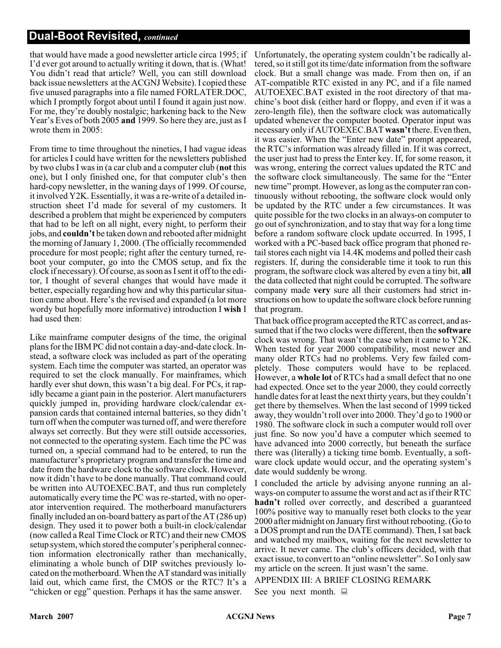that would have made a good newsletter article circa 1995; if I'd ever got around to actually writing it down, that is. (What! You didn't read that article? Well, you can still download back issue newsletters at the ACGNJ Website). I copied these five unused paragraphs into a file named FORLATER.DOC, which I promptly forgot about until I found it again just now. For me, they're doubly nostalgic; harkening back to the New Year's Eves of both 2005 **and** 1999. So here they are, just as I wrote them in 2005:

From time to time throughout the nineties, I had vague ideas for articles I could have written for the newsletters published by two clubs I was in (a car club and a computer club (**not** this one), but I only finished one, for that computer club's then hard-copy newsletter, in the waning days of 1999. Of course, it involved Y2K. Essentially, it was a re-write of a detailed instruction sheet I'd made for several of my customers. It described a problem that might be experienced by computers that had to be left on all night, every night, to perform their jobs, and **couldn't** be taken down and rebooted after midnight the morning of January 1, 2000. (The officially recommended procedure for most people; right after the century turned, reboot your computer, go into the CMOS setup, and fix the clock if necessary). Of course, as soon as I sent it off to the editor, I thought of several changes that would have made it better, especially regarding how and why this particular situation came about. Here's the revised and expanded (a lot more wordy but hopefully more informative) introduction I **wish** I had used then:

Like mainframe computer designs of the time, the original plans for the IBM PC did not contain a day-and-date clock. Instead, a software clock was included as part of the operating system. Each time the computer was started, an operator was required to set the clock manually. For mainframes, which hardly ever shut down, this wasn't a big deal. For PCs, it rapidly became a giant pain in the posterior. Alert manufacturers quickly jumped in, providing hardware clock/calendar expansion cards that contained internal batteries, so they didn't turn off when the computer was turned off, and were therefore always set correctly. But they were still outside accessories, not connected to the operating system. Each time the PC was turned on, a special command had to be entered, to run the manufacturer's proprietary program and transfer the time and date from the hardware clock to the software clock. However, now it didn't have to be done manually. That command could be written into AUTOEXEC.BAT, and thus run completely automatically every time the PC was re-started, with no operator intervention required. The motherboard manufacturers finally included an on-board battery as part of the AT (286 up) design. They used it to power both a built-in clock/calendar (now called a Real Time Clock or RTC) and their new CMOS setup system, which stored the computer's peripheral connection information electronically rather than mechanically, eliminating a whole bunch of DIP switches previously located on the motherboard. When the AT standard was initially laid out, which came first, the CMOS or the RTC? It's a "chicken or egg" question. Perhaps it has the same answer.

Unfortunately, the operating system couldn't be radically altered, so it still got its time/date information from the software clock. But a small change was made. From then on, if an AT-compatible RTC existed in any PC, and if a file named AUTOEXEC.BAT existed in the root directory of that machine's boot disk (either hard or floppy, and even if it was a zero-length file), then the software clock was automatically updated whenever the computer booted. Operator input was necessary only if AUTOEXEC.BAT **wasn't**there. Even then, it was easier. When the "Enter new date" prompt appeared, the RTC's information was already filled in. If it was correct, the user just had to press the Enter key. If, for some reason, it was wrong, entering the correct values updated the RTC and the software clock simultaneously. The same for the "Enter new time" prompt. However, as long as the computer ran continuously without rebooting, the software clock would only be updated by the RTC under a few circumstances. It was quite possible for the two clocks in an always-on computer to go out of synchronization, and to stay that way for a long time before a random software clock update occurred. In 1995, I worked with a PC-based back office program that phoned retail stores each night via 14.4K modems and polled their cash registers. If, during the considerable time it took to run this program, the software clock was altered by even a tiny bit, **all** the data collected that night could be corrupted. The software company made **very** sure all their customers had strict instructions on how to update the software clock before running that program.

That back office program accepted the RTC as correct, and assumed that if the two clocks were different, then the **software** clock was wrong. That wasn't the case when it came to Y2K. When tested for year 2000 compatibility, most newer and many older RTCs had no problems. Very few failed completely. Those computers would have to be replaced. However, a **whole lot** of RTCs had a small defect that no one had expected. Once set to the year 2000, they could correctly handle dates for at least the next thirty years, but they couldn't get there by themselves. When the last second of 1999 ticked away, they wouldn't roll over into 2000. They'd go to 1900 or 1980. The software clock in such a computer would roll over just fine. So now you'd have a computer which seemed to have advanced into 2000 correctly, but beneath the surface there was (literally) a ticking time bomb. Eventually, a software clock update would occur, and the operating system's date would suddenly be wrong.

I concluded the article by advising anyone running an always-on computer to assume the worst and act as if their RTC **hadn't** rolled over correctly, and described a guaranteed 100% positive way to manually reset both clocks to the year 2000 after midnight on January first without rebooting. (Go to a DOS prompt and run the DATE command). Then, I sat back and watched my mailbox, waiting for the next newsletter to arrive. It never came. The club's officers decided, with that exact issue, to convert to an "online newsletter". So I only saw my article on the screen. It just wasn't the same.

APPENDIX III: A BRIEF CLOSING REMARK

See you next month.  $\Box$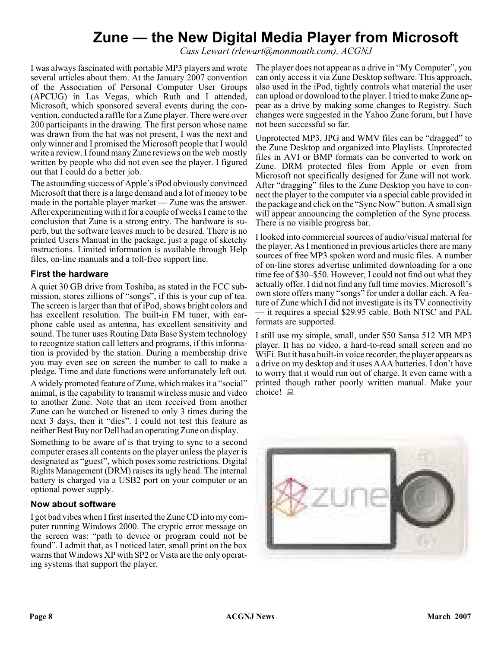## **Zune — the New Digital Media Player from Microsoft**

*Cass Lewart (rlewart@monmouth.com), ACGNJ*

I was always fascinated with portable MP3 players and wrote several articles about them. At the January 2007 convention of the Association of Personal Computer User Groups (APCUG) in Las Vegas, which Ruth and I attended, Microsoft, which sponsored several events during the convention, conducted a raffle for a Zune player. There were over 200 participants in the drawing. The first person whose name was drawn from the hat was not present, I was the next and only winner and I promised the Microsoft people that I would write a review. I found many Zune reviews on the web mostly written by people who did not even see the player. I figured out that I could do a better job.

The astounding success of Apple's iPod obviously convinced Microsoft that there is a large demand and a lot of money to be made in the portable player market — Zune was the answer. After experimenting with it for a couple of weeks I came to the conclusion that Zune is a strong entry. The hardware is superb, but the software leaves much to be desired. There is no printed Users Manual in the package, just a page of sketchy instructions. Limited information is available through Help files, on-line manuals and a toll-free support line.

#### **First the hardware**

A quiet 30 GB drive from Toshiba, as stated in the FCC submission, stores zillions of "songs", if this is your cup of tea. The screen is larger than that of iPod, shows bright colors and has excellent resolution. The built-in FM tuner, with earphone cable used as antenna, has excellent sensitivity and sound. The tuner uses Routing Data Base System technology to recognize station call letters and programs, if this information is provided by the station. During a membership drive you may even see on screen the number to call to make a pledge. Time and date functions were unfortunately left out.

A widely promoted feature of Zune, which makes it a "social" animal, is the capability to transmit wireless music and video to another Zune. Note that an item received from another Zune can be watched or listened to only 3 times during the next 3 days, then it "dies". I could not test this feature as neither Best Buy nor Dell had an operating Zune on display.

Something to be aware of is that trying to sync to a second computer erases all contents on the player unless the player is designated as "guest", which poses some restrictions. Digital Rights Management (DRM) raises its ugly head. The internal battery is charged via a USB2 port on your computer or an optional power supply.

#### **Now about software**

I got bad vibes when I first inserted the Zune CD into my computer running Windows 2000. The cryptic error message on the screen was: "path to device or program could not be found". I admit that, as I noticed later, small print on the box warns that Windows XP with SP2 or Vista are the only operating systems that support the player.

The player does not appear as a drive in "My Computer", you can only access it via Zune Desktop software. This approach, also used in the iPod, tightly controls what material the user can upload or download to the player. I tried to make Zune appear as a drive by making some changes to Registry. Such changes were suggested in the Yahoo Zune forum, but I have not been successful so far.

Unprotected MP3, JPG and WMV files can be "dragged" to the Zune Desktop and organized into Playlists. Unprotected files in AVI or BMP formats can be converted to work on Zune. DRM protected files from Apple or even from Microsoft not specifically designed for Zune will not work. After "dragging" files to the Zune Desktop you have to connect the player to the computer via a special cable provided in the package and click on the "Sync Now" button. A small sign will appear announcing the completion of the Sync process. There is no visible progress bar.

I looked into commercial sources of audio/visual material for the player. As I mentioned in previous articles there are many sources of free MP3 spoken word and music files. A number of on-line stores advertise unlimited downloading for a one time fee of \$30–\$50. However, I could not find out what they actually offer. I did not find any full time movies. Microsoft's own store offers many "songs" for under a dollar each. A feature of Zune which I did not investigate is its TV connectivity — it requires a special \$29.95 cable. Both NTSC and PAL formats are supported.

I still use my simple, small, under \$50 Sansa 512 MB MP3 player. It has no video, a hard-to-read small screen and no WiFi. But it has a built-in voice recorder, the player appears as a drive on my desktop and it uses AAA batteries. I don't have to worry that it would run out of charge. It even came with a printed though rather poorly written manual. Make your choice!  $\Box$ 

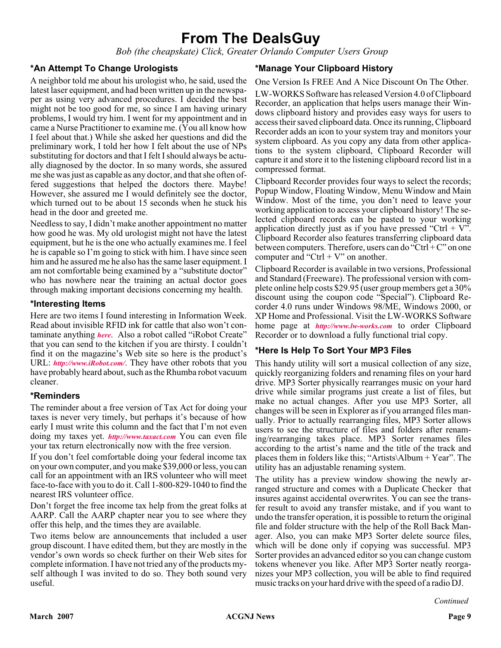### **From The DealsGuy**

*Bob (the cheapskate) Click, Greater Orlando Computer Users Group*

#### **\*An Attempt To Change Urologists**

A neighbor told me about his urologist who, he said, used the latest laser equipment, and had been written up in the newspaper as using very advanced procedures. I decided the best might not be too good for me, so since I am having urinary problems, I would try him. I went for my appointment and in came a Nurse Practitioner to examine me. (You all know how I feel about that.) While she asked her questions and did the preliminary work, I told her how I felt about the use of NPs substituting for doctors and that I felt I should always be actually diagnosed by the doctor. In so many words, she assured me she was just as capable as any doctor, and that she often offered suggestions that helped the doctors there. Maybe! However, she assured me I would definitely see the doctor, which turned out to be about 15 seconds when he stuck his head in the door and greeted me.

Needless to say, I didn't make another appointment no matter how good he was. My old urologist might not have the latest equipment, but he is the one who actually examines me. I feel he is capable so I'm going to stick with him. I have since seen him and he assured me he also has the same laser equipment. I am not comfortable being examined by a "substitute doctor" who has nowhere near the training an actual doctor goes through making important decisions concerning my health.

#### **\*Interesting Items**

Here are two items I found interesting in Information Week. Read about invisible RFID ink for cattle that also won't contaminate anything *[here](http://www.informationweek.com/showArticle.jhtml)*. Also a robot called "iRobot Create" that you can send to the kitchen if you are thirsty. I couldn't find it on the magazine's Web site so here is the product's URL: *<http://www.iRobot.com/>*. They have other robots that you have probably heard about, such as the Rhumba robot vacuum cleaner.

#### **\*Reminders**

The reminder about a free version of Tax Act for doing your taxes is never very timely, but perhaps it's because of how early I must write this column and the fact that I'm not even doing my taxes yet. *[http://www.taxact.com](http://www.taxact.com )* You can even file your tax return electronically now with the free version.

If you don't feel comfortable doing your federal income tax on your own computer, and you make \$39,000 or less, you can call for an appointment with an IRS volunteer who will meet face-to-face with you to do it. Call 1-800-829-1040 to find the nearest IRS volunteer office.

Don't forget the free income tax help from the great folks at AARP. Call the AARP chapter near you to see where they offer this help, and the times they are available.

Two items below are announcements that included a user group discount. I have edited them, but they are mostly in the vendor's own words so check further on their Web sites for complete information. I have not tried any of the products myself although I was invited to do so. They both sound very useful.

#### **\*Manage Your Clipboard History**

One Version Is FREE And A Nice Discount On The Other.

LW-WORKS Software has released Version 4.0 of Clipboard Recorder, an application that helps users manage their Windows clipboard history and provides easy ways for users to access their saved clipboard data. Once its running, Clipboard Recorder adds an icon to your system tray and monitors your system clipboard. As you copy any data from other applications to the system clipboard, Clipboard Recorder will capture it and store it to the listening clipboard record list in a compressed format.

Clipboard Recorder provides four ways to select the records; Popup Window, Floating Window, Menu Window and Main Window. Most of the time, you don't need to leave your working application to access your clipboard history! The selected clipboard records can be pasted to your working application directly just as if you have pressed "Ctrl + V". Clipboard Recorder also features transferring clipboard data between computers. Therefore, users can do "Ctrl + C" on one computer and "Ctrl  $+$  V" on another.

Clipboard Recorder is available in two versions, Professional and Standard (Freeware). The professional version with complete online help costs \$29.95 (user group members get a 30% discount using the coupon code "Special"). Clipboard Recorder 4.0 runs under Windows 98/ME, Windows 2000, or XP Home and Professional. Visit the LW-WORKS Software home page at *<http://www.lw-works.com>* to order Clipboard Recorder or to download a fully functional trial copy.

#### **\*Here Is Help To Sort Your MP3 Files**

This handy utility will sort a musical collection of any size, quickly reorganizing folders and renaming files on your hard drive. MP3 Sorter physically rearranges music on your hard drive while similar programs just create a list of files, but make no actual changes. After you use MP3 Sorter, all changes will be seen in Explorer as if you arranged files manually. Prior to actually rearranging files, MP3 Sorter allows users to see the structure of files and folders after renaming/rearranging takes place. MP3 Sorter renames files according to the artist's name and the title of the track and places them in folders like this; "Artists\Album + Year". The utility has an adjustable renaming system.

The utility has a preview window showing the newly arranged structure and comes with a Duplicate Checker that insures against accidental overwrites. You can see the transfer result to avoid any transfer mistake, and if you want to undo the transfer operation, it is possible to return the original file and folder structure with the help of the Roll Back Manager. Also, you can make MP3 Sorter delete source files, which will be done only if copying was successful. MP3 Sorter provides an advanced editor so you can change custom tokens whenever you like. After MP3 Sorter neatly reorganizes your MP3 collection, you will be able to find required music tracks on your hard drive with the speed of a radio DJ.

*Continued*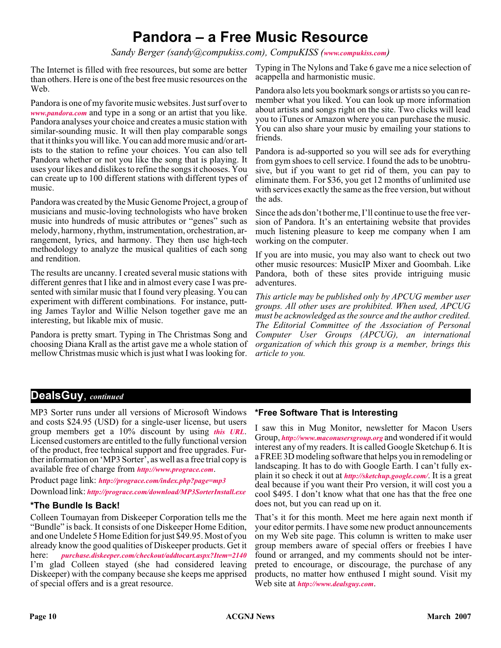### **Pandora – a Free Music Resource**

*Sandy Berger (sandy@compukiss.com), CompuKISS ([www.compukiss.com](http://www.compukiss.com))*

The Internet is filled with free resources, but some are better than others. Here is one of the best free music resources on the Web.

Pandora is one of my favorite music websites. Just surf over to *[www.pandora.com](http://www.pandora.com )* and type in a song or an artist that you like. Pandora analyses your choice and creates a music station with similar-sounding music. It will then play comparable songs that it thinks you will like. You can add more music and/or artists to the station to refine your choices. You can also tell Pandora whether or not you like the song that is playing. It uses your likes and dislikes to refine the songs it chooses. You can create up to 100 different stations with different types of music.

Pandora was created by the Music Genome Project, a group of musicians and music-loving technologists who have broken music into hundreds of music attributes or "genes" such as melody, harmony, rhythm, instrumentation, orchestration, arrangement, lyrics, and harmony. They then use high-tech methodology to analyze the musical qualities of each song and rendition.

The results are uncanny. I created several music stations with different genres that I like and in almost every case I was presented with similar music that I found very pleasing. You can experiment with different combinations. For instance, putting James Taylor and Willie Nelson together gave me an interesting, but likable mix of music.

Pandora is pretty smart. Typing in The Christmas Song and choosing Diana Krall as the artist gave me a whole station of mellow Christmas music which is just what I was looking for.

Typing in The Nylons and Take 6 gave me a nice selection of acappella and harmonistic music.

Pandora also lets you bookmark songs or artists so you can remember what you liked. You can look up more information about artists and songs right on the site. Two clicks will lead you to iTunes or Amazon where you can purchase the music. You can also share your music by emailing your stations to friends.

Pandora is ad-supported so you will see ads for everything from gym shoes to cell service. I found the ads to be unobtrusive, but if you want to get rid of them, you can pay to eliminate them. For \$36, you get 12 months of unlimited use with services exactly the same as the free version, but without the ads.

Since the ads don't bother me, I'll continue to use the free version of Pandora. It's an entertaining website that provides much listening pleasure to keep me company when I am working on the computer.

If you are into music, you may also want to check out two other music resources: MusicIP Mixer and Goombah. Like Pandora, both of these sites provide intriguing music adventures.

*This article may be published only by APCUG member user groups. All other uses are prohibited. When used, APCUG must be acknowledged as the source and the author credited. The Editorial Committee of the Association of Personal Computer User Groups (APCUG), an international organization of which this group is a member, brings this article to you.*

#### **DealsGuy**, *continued*

MP3 Sorter runs under all versions of Microsoft Windows and costs \$24.95 (USD) for a single-user license, but users group members get a 10% discount by using *[this URL](http://)*. Licensed customers are entitled to the fully functional version of the product, free technical support and free upgrades. Further information on 'MP3 Sorter', as well as a free trial copy is available free of charge from *<http://www.prograce.com>*.

Product page link: *<http://prograce.com/index.php?page=mp3>*

#### Download link: *<http://prograce.com/download/MP3SorterInstall.exe>*

#### **\*The Bundle Is Back!**

Colleen Toumayan from Diskeeper Corporation tells me the "Bundle" is back. It consists of one Diskeeper Home Edition, and one Undelete 5 Home Edition for just \$49.95. Most of you already know the good qualities of Diskeeper products. Get it here: *[purchase.diskeeper.com/checkout/addtocart.aspx?Item=2140](http://purchase.diskeeper.com/checkout/addtocart.aspx?Item=2140 )* I'm glad Colleen stayed (she had considered leaving Diskeeper) with the company because she keeps me apprised of special offers and is a great resource.

#### **\*Free Software That is Interesting**

I saw this in Mug Monitor, newsletter for Macon Users Group, *<http://www.maconusersgroup.org>* and wondered if it would interest any of my readers. It is called Google Sketchup 6. It is a FREE 3D modeling software that helps you in remodeling or landscaping. It has to do with Google Earth. I can't fully explain it so check it out at *<http://sketchup.google.com/>*. It is a great deal because if you want their Pro version, it will cost you a cool \$495. I don't know what that one has that the free one does not, but you can read up on it.

That's it for this month. Meet me here again next month if your editor permits. I have some new product announcements on my Web site page. This column is written to make user group members aware of special offers or freebies I have found or arranged, and my comments should not be interpreted to encourage, or discourage, the purchase of any products, no matter how enthused I might sound. Visit my Web site at *<http://www.dealsguy.com>*.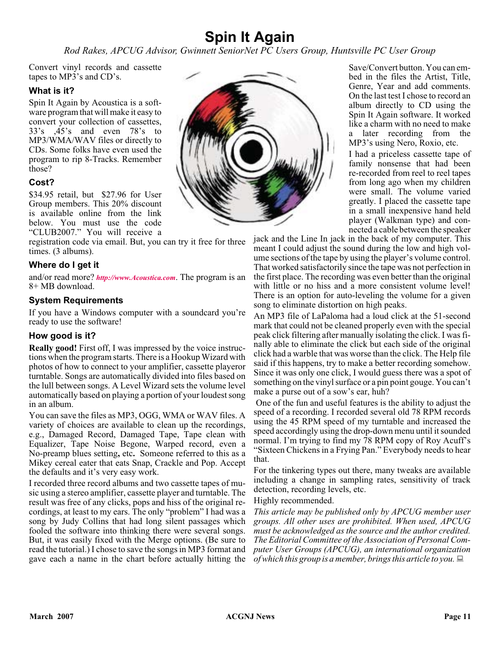### **Spin It Again**

*Rod Rakes, APCUG Advisor, Gwinnett SeniorNet PC Users Group, Huntsville PC User Group*

Convert vinyl records and cassette tapes to MP3's and CD's.

#### **What is it?**

Spin It Again by Acoustica is a software program that will make it easy to convert your collection of cassettes, 33's ,45's and even 78's to MP3/WMA/WAV files or directly to CDs. Some folks have even used the program to rip 8-Tracks. Remember those?

#### **Cost?**

\$34.95 retail, but \$27.96 for User Group members. This 20% discount is available online from the link below. You must use the code "CLUB2007." You will receive a

registration code via email. But, you can try it free for three times. (3 albums).

#### **Where do I get it**

and/or read more? *[http://www.Acoustica.com](http://)*. The program is an 8+ MB download.

#### **System Requirements**

If you have a Windows computer with a soundcard you're ready to use the software!

#### **How good is it?**

**Really good!** First off, I was impressed by the voice instructions when the program starts. There is a Hookup Wizard with photos of how to connect to your amplifier, cassette playeror turntable. Songs are automatically divided into files based on the lull between songs. A Level Wizard sets the volume level automatically based on playing a portion of your loudest song in an album.

You can save the files as MP3, OGG, WMA or WAV files. A variety of choices are available to clean up the recordings, e.g., Damaged Record, Damaged Tape, Tape clean with Equalizer, Tape Noise Begone, Warped record, even a No-preamp blues setting**,** etc**.** Someone referred to this as a Mikey cereal eater that eats Snap, Crackle and Pop. Accept the defaults and it's very easy work.

I recorded three record albums and two cassette tapes of music using a stereo amplifier, cassette player and turntable. The result was free of any clicks, pops and hiss of the original recordings, at least to my ears. The only "problem" I had was a song by Judy Collins that had long silent passages which fooled the software into thinking there were several songs. But, it was easily fixed with the Merge options. (Be sure to read the tutorial.) I chose to save the songs in MP3 format and gave each a name in the chart before actually hitting the



Save/Convert button. You can embed in the files the Artist, Title, Genre, Year and add comments. On the last test I chose to record an album directly to CD using the Spin It Again software. It worked like a charm with no need to make a later recording from the MP3's using Nero, Roxio, etc.

I had a priceless cassette tape of family nonsense that had been re-recorded from reel to reel tapes from long ago when my children were small. The volume varied greatly. I placed the cassette tape in a small inexpensive hand held player (Walkman type) and connected a cable between the speaker

jack and the Line In jack in the back of my computer. This meant I could adjust the sound during the low and high volume sections of the tape by using the player's volume control. That worked satisfactorily since the tape was not perfection in the first place. The recording was even better than the original with little or no hiss and a more consistent volume level! There is an option for auto-leveling the volume for a given song to eliminate distortion on high peaks.

An MP3 file of LaPaloma had a loud click at the 51-second mark that could not be cleaned properly even with the special peak click filtering after manually isolating the click. I was finally able to eliminate the click but each side of the original click had a warble that was worse than the click. The Help file said if this happens, try to make a better recording somehow. Since it was only one click, I would guess there was a spot of something on the vinyl surface or a pin point gouge. You can't make a purse out of a sow's ear, huh?

One of the fun and useful features is the ability to adjust the speed of a recording. I recorded several old 78 RPM records using the 45 RPM speed of my turntable and increased the speed accordingly using the drop-down menu until it sounded normal. I'm trying to find my 78 RPM copy of Roy Acuff's "Sixteen Chickens in a Frying Pan." Everybody needs to hear that.

For the tinkering types out there, many tweaks are available including a change in sampling rates, sensitivity of track detection, recording levels, etc.

#### Highly recommended.

*This article may be published only by APCUG member user groups. All other uses are prohibited. When used, APCUG must be acknowledged as the source and the author credited. The Editorial Committee of the Association of Personal Computer User Groups (APCUG), an international organization of which this group is a member, brings this article to you.*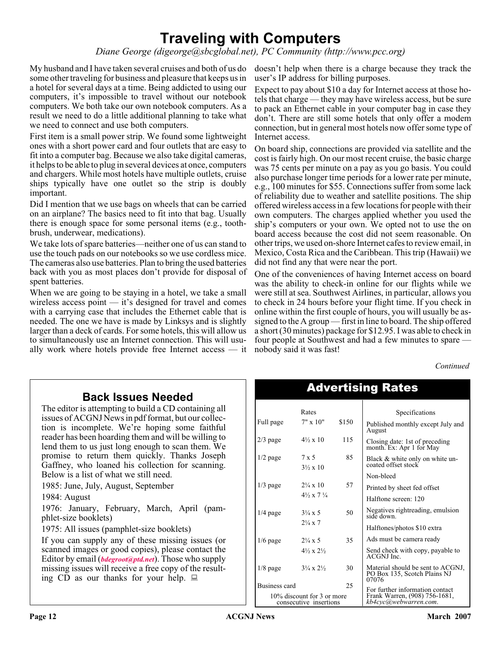### **Traveling with Computers**

*Diane George (digeorge@sbcglobal.net), PC Community (http://www.pcc.org)*

My husband and I have taken several cruises and both of us do doesn't help when there is a charge because they track the some other traveling for business and pleasure that keeps us in a hotel for several days at a time. Being addicted to using our computers, it's impossible to travel without our notebook computers. We both take our own notebook computers. As a result we need to do a little additional planning to take what we need to connect and use both computers.

First item is a small power strip. We found some lightweight ones with a short power card and four outlets that are easy to fit into a computer bag. Because we also take digital cameras, it helps to be able to plug in several devices at once, computers and chargers. While most hotels have multiple outlets, cruise ships typically have one outlet so the strip is doubly important.

Did I mention that we use bags on wheels that can be carried on an airplane? The basics need to fit into that bag. Usually there is enough space for some personal items (e.g., toothbrush, underwear, medications).

We take lots of spare batteries—neither one of us can stand to use the touch pads on our notebooks so we use cordless mice. The cameras also use batteries. Plan to bring the used batteries back with you as most places don't provide for disposal of spent batteries.

When we are going to be staying in a hotel, we take a small wireless access point — it's designed for travel and comes with a carrying case that includes the Ethernet cable that is needed. The one we have is made by Linksys and is slightly larger than a deck of cards. For some hotels, this will allow us to simultaneously use an Internet connection. This will usually work where hotels provide free Internet access — it

user's IP address for billing purposes.

Expect to pay about \$10 a day for Internet access at those hotels that charge — they may have wireless access, but be sure to pack an Ethernet cable in your computer bag in case they don't. There are still some hotels that only offer a modem connection, but in general most hotels now offer some type of Internet access.

On board ship, connections are provided via satellite and the cost is fairly high. On our most recent cruise, the basic charge was 75 cents per minute on a pay as you go basis. You could also purchase longer time periods for a lower rate per minute, e.g., 100 minutes for \$55. Connections suffer from some lack of reliability due to weather and satellite positions. The ship offered wireless access in a few locations for people with their own computers. The charges applied whether you used the ship's computers or your own. We opted not to use the on board access because the cost did not seem reasonable. On other trips, we used on-shore Internet cafes to review email, in Mexico, Costa Rica and the Caribbean. This trip (Hawaii) we did not find any that were near the port.

One of the conveniences of having Internet access on board was the ability to check-in online for our flights while we were still at sea. Southwest Airlines, in particular, allows you to check in 24 hours before your flight time. If you check in online within the first couple of hours, you will usually be assigned to the A group — first in line to board. The ship offered a short (30 minutes) package for \$12.95. I was able to check in four people at Southwest and had a few minutes to spare nobody said it was fast!

*Continued*

#### **Back Issues Needed**

The editor is attempting to build a CD containing all issues of ACGNJ News in pdf format, but our collection is incomplete. We're hoping some faithful reader has been hoarding them and will be willing to lend them to us just long enough to scan them. We promise to return them quickly. Thanks Joseph Gaffney, who loaned his collection for scanning. Below is a list of what we still need.

1985: June, July, August, September

1984: August

1976: January, February, March, April (pamphlet-size booklets)

1975: All issues (pamphlet-size booklets)

If you can supply any of these missing issues (or scanned images or good copies), please contact the Editor by email (*[bdegroot@ptd.net](mailto:bdegroot@ptd.net)*). Those who supply missing issues will receive a free copy of the resulting CD as our thanks for your help.  $\Box$ 

| <b>Advertising Rates</b>                             |                                          |       |                                                                            |  |
|------------------------------------------------------|------------------------------------------|-------|----------------------------------------------------------------------------|--|
|                                                      | Rates                                    |       | Specifications                                                             |  |
| Full page                                            | $7" \times 10"$                          | \$150 | Published monthly except July and<br>August                                |  |
| $2/3$ page                                           | $4\frac{1}{2} \times 10$                 | 115   | Closing date: 1st of preceding<br>month. Ex: Apr 1 for May                 |  |
| $1/2$ page                                           | $7 \times 5$<br>$3\frac{1}{2} \times 10$ | 85    | Black & white only on white un-<br>coated offset stock                     |  |
|                                                      |                                          |       | Non-bleed                                                                  |  |
| $1/3$ page                                           | $2\frac{1}{4} \times 10$                 | 57    | Printed by sheet fed offset                                                |  |
|                                                      | $4\frac{1}{2} \times 7\frac{1}{4}$       |       | Halftone screen: 120                                                       |  |
| $1/4$ page                                           | $3\frac{1}{4} \times 5$                  | 50    | Negatives right reading, emulsion<br>side down.                            |  |
|                                                      | $2\frac{1}{4} \times 7$                  |       | Halftones/photos \$10 extra                                                |  |
| $1/6$ page                                           | $2\frac{1}{4} \times 5$                  | 35    | Ads must be camera ready                                                   |  |
|                                                      | $4\frac{1}{2} \times 2\frac{1}{2}$       |       | Send check with copy, payable to<br>ACGNJ Inc.                             |  |
| $1/8$ page                                           | $3\frac{1}{4} \times 2\frac{1}{2}$       | 30    | Material should be sent to ACGNJ,<br>PO Box 135, Scotch Plains NJ<br>07076 |  |
| Business card                                        |                                          | 25    | For further information contact                                            |  |
| 10% discount for 3 or more<br>consecutive insertions |                                          |       | Frank Warren, (908) 756-1681,<br>kb4cyc@webwarren.com.                     |  |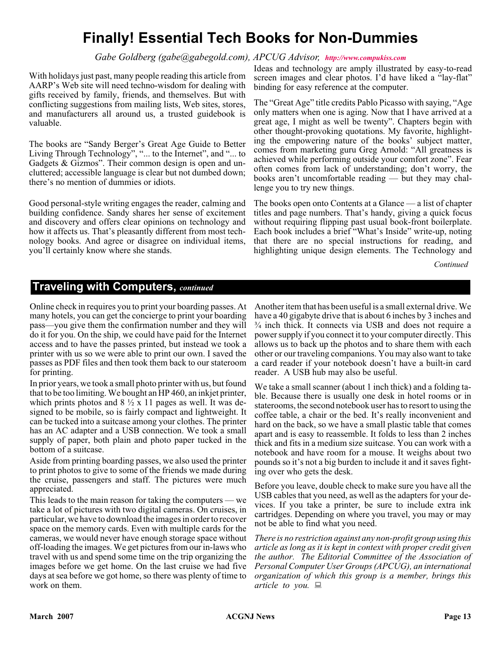### **Finally! Essential Tech Books for Non-Dummies**

#### *Gabe Goldberg (gabe@gabegold.com), APCUG Advisor, <http://www.compukiss.com>*

With holidays just past, many people reading this article from AARP's Web site will need techno-wisdom for dealing with gifts received by family, friends, and themselves. But with conflicting suggestions from mailing lists, Web sites, stores, and manufacturers all around us, a trusted guidebook is valuable.

The books are "Sandy Berger's Great Age Guide to Better Living Through Technology", "... to the Internet", and "... to Gadgets & Gizmos". Their common design is open and uncluttered; accessible language is clear but not dumbed down; there's no mention of dummies or idiots.

Good personal-style writing engages the reader, calming and building confidence. Sandy shares her sense of excitement and discovery and offers clear opinions on technology and how it affects us. That's pleasantly different from most technology books. And agree or disagree on individual items, you'll certainly know where she stands.

Ideas and technology are amply illustrated by easy-to-read screen images and clear photos. I'd have liked a "lay-flat" binding for easy reference at the computer.

The "Great Age" title credits Pablo Picasso with saying, "Age only matters when one is aging. Now that I have arrived at a great age, I might as well be twenty". Chapters begin with other thought-provoking quotations. My favorite, highlighting the empowering nature of the books' subject matter, comes from marketing guru Greg Arnold: "All greatness is achieved while performing outside your comfort zone". Fear often comes from lack of understanding; don't worry, the books aren't uncomfortable reading — but they may challenge you to try new things.

The books open onto Contents at a Glance — a list of chapter titles and page numbers. That's handy, giving a quick focus without requiring flipping past usual book-front boilerplate. Each book includes a brief "What's Inside" write-up, noting that there are no special instructions for reading, and highlighting unique design elements. The Technology and

*Continued*

#### **Traveling with Computers,** *continued*

Online check in requires you to print your boarding passes. At many hotels, you can get the concierge to print your boarding pass—you give them the confirmation number and they will do it for you. On the ship, we could have paid for the Internet access and to have the passes printed, but instead we took a printer with us so we were able to print our own. I saved the passes as PDF files and then took them back to our stateroom for printing.

In prior years, we took a small photo printer with us, but found that to be too limiting. We bought an HP 460, an inkjet printer, which prints photos and  $8 \frac{1}{2}$  x 11 pages as well. It was designed to be mobile, so is fairly compact and lightweight. It can be tucked into a suitcase among your clothes. The printer has an AC adapter and a USB connection. We took a small supply of paper, both plain and photo paper tucked in the bottom of a suitcase.

Aside from printing boarding passes, we also used the printer to print photos to give to some of the friends we made during the cruise, passengers and staff. The pictures were much appreciated.

This leads to the main reason for taking the computers — we take a lot of pictures with two digital cameras. On cruises, in particular, we have to download the images in order to recover space on the memory cards. Even with multiple cards for the cameras, we would never have enough storage space without off-loading the images. We get pictures from our in-laws who travel with us and spend some time on the trip organizing the images before we get home. On the last cruise we had five days at sea before we got home, so there was plenty of time to work on them.

Another item that has been useful is a small external drive. We have a 40 gigabyte drive that is about 6 inches by 3 inches and ¾ inch thick. It connects via USB and does not require a power supply if you connect it to your computer directly. This allows us to back up the photos and to share them with each other or our traveling companions. You may also want to take a card reader if your notebook doesn't have a built-in card reader. A USB hub may also be useful.

We take a small scanner (about 1 inch thick) and a folding table. Because there is usually one desk in hotel rooms or in staterooms, the second notebook user has to resort to using the coffee table, a chair or the bed. It's really inconvenient and hard on the back, so we have a small plastic table that comes apart and is easy to reassemble. It folds to less than 2 inches thick and fits in a medium size suitcase. You can work with a notebook and have room for a mouse. It weighs about two pounds so it's not a big burden to include it and it saves fighting over who gets the desk.

Before you leave, double check to make sure you have all the USB cables that you need, as well as the adapters for your devices. If you take a printer, be sure to include extra ink cartridges. Depending on where you travel, you may or may not be able to find what you need.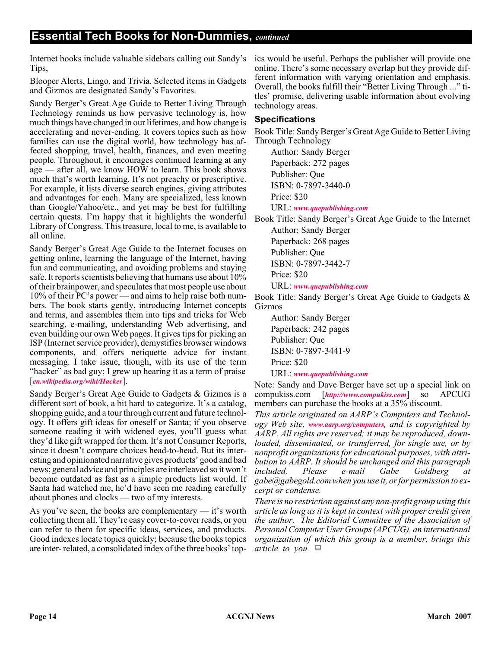Internet books include valuable sidebars calling out Sandy's Tips,

Blooper Alerts, Lingo, and Trivia. Selected items in Gadgets and Gizmos are designated Sandy's Favorites.

Sandy Berger's Great Age Guide to Better Living Through Technology reminds us how pervasive technology is, how much things have changed in our lifetimes, and how change is accelerating and never-ending. It covers topics such as how families can use the digital world, how technology has affected shopping, travel, health, finances, and even meeting people. Throughout, it encourages continued learning at any age — after all, we know HOW to learn. This book shows much that's worth learning. It's not preachy or prescriptive. For example, it lists diverse search engines, giving attributes and advantages for each. Many are specialized, less known than Google/Yahoo/etc., and yet may be best for fulfilling certain quests. I'm happy that it highlights the wonderful Library of Congress. This treasure, local to me, is available to all online.

Sandy Berger's Great Age Guide to the Internet focuses on getting online, learning the language of the Internet, having fun and communicating, and avoiding problems and staying safe. It reports scientists believing that humans use about 10% of their brainpower, and speculates that most people use about 10% of their PC's power — and aims to help raise both numbers. The book starts gently, introducing Internet concepts and terms, and assembles them into tips and tricks for Web searching, e-mailing, understanding Web advertising, and even building our own Web pages. It gives tips for picking an ISP (Internet service provider), demystifies browser windows components, and offers netiquette advice for instant messaging. I take issue, though, with its use of the term "hacker" as bad guy; I grew up hearing it as a term of praise [*[en.wikipedia.org/wiki/Hacker](http://en.wikipedia.org/wiki/Hacker)*].

Sandy Berger's Great Age Guide to Gadgets & Gizmos is a different sort of book, a bit hard to categorize. It's a catalog, shopping guide, and a tour through current and future technology. It offers gift ideas for oneself or Santa; if you observe someone reading it with widened eyes, you'll guess what they'd like gift wrapped for them. It's not Consumer Reports, since it doesn't compare choices head-to-head. But its interesting and opinionated narrative gives products' good and bad news; general advice and principles are interleaved so it won't become outdated as fast as a simple products list would. If Santa had watched me, he'd have seen me reading carefully about phones and clocks — two of my interests.

As you've seen, the books are complementary — it's worth collecting them all. They're easy cover-to-cover reads, or you can refer to them for specific ideas, services, and products. Good indexes locate topics quickly; because the books topics are inter- related, a consolidated index of the three books' top-

ics would be useful. Perhaps the publisher will provide one online. There's some necessary overlap but they provide different information with varying orientation and emphasis. Overall, the books fulfill their "Better Living Through ..." titles' promise, delivering usable information about evolving technology areas.

#### **Specifications**

Book Title: Sandy Berger's Great Age Guide to Better Living Through Technology

Author: Sandy Berger Paperback: 272 pages Publisher: Que ISBN: 0-7897-3440-0 Price: \$20

URL: *[www.quepublishing.com](http://www.quepublishing.com)*

Book Title: Sandy Berger's Great Age Guide to the Internet Author: Sandy Berger

Paperback: 268 pages

Publisher: Que

ISBN: 0-7897-3442-7

Price: \$20

URL: *[www.quepublishing.com](http://www.quepublishing.com)*

Book Title: Sandy Berger's Great Age Guide to Gadgets & Gizmos

Author: Sandy Berger Paperback: 242 pages Publisher: Que ISBN: 0-7897-3441-9 Price: \$20 URL: *[www.quepublishing.com](http://www.quepublishing.com)*

Note: Sandy and Dave Berger have set up a special link on compukiss.com [*<http://www.compukiss.com>*] so APCUG members can purchase the books at a 35% discount.

*This article originated on AARP's Computers and Technology Web site, [www.aarp.org/computers](http://www.aarp.org/computers), and is copyrighted by AARP. All rights are reserved; it may be reproduced, downloaded, disseminated, or transferred, for single use, or by nonprofit organizations for educational purposes, with attribution to AARP. It should be unchanged and this paragraph included. Please e-mail Gabe Goldberg at gabe@gabegold.com when you use it, or for permission to excerpt or condense.*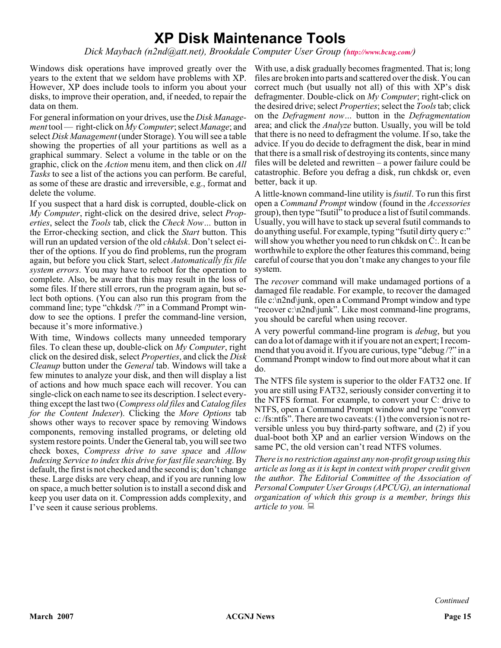### **XP Disk Maintenance Tools**

*Dick Maybach (n2nd@att.net), Brookdale Computer User Group (<http://www.bcug.com/>)*

Windows disk operations have improved greatly over the years to the extent that we seldom have problems with XP. However, XP does include tools to inform you about your disks, to improve their operation, and, if needed, to repair the data on them.

For general information on your drives, use the *Disk Management* tool — right-click on *My Computer*; select *Manage*; and select *Disk Management* (under Storage). You will see a table showing the properties of all your partitions as well as a graphical summary. Select a volume in the table or on the graphic, click on the *Action* menu item, and then click on *All Tasks* to see a list of the actions you can perform. Be careful, as some of these are drastic and irreversible, e.g., format and delete the volume.

If you suspect that a hard disk is corrupted, double-click on *My Computer*, right-click on the desired drive, select *Properties*, select the *Tools* tab, click the *Check Now…* button in the Error-checking section, and click the *Start* button. This will run an updated version of the old *chkdsk*. Don't select either of the options. If you do find problems, run the program again, but before you click Start, select *Automatically fix file system errors*. You may have to reboot for the operation to complete. Also, be aware that this may result in the loss of some files. If there still errors, run the program again, but select both options. (You can also run this program from the command line; type "chkdsk /?" in a Command Prompt window to see the options. I prefer the command-line version, because it's more informative.)

With time, Windows collects many unneeded temporary files. To clean these up, double-click on *My Computer*, right click on the desired disk, select *Properties*, and click the *Disk Cleanup* button under the *General* tab. Windows will take a few minutes to analyze your disk, and then will display a list of actions and how much space each will recover. You can single-click on each name to see its description. I select everything except the last two (*Compress old files* and *Catalog files for the Content Indexer*). Clicking the *More Options* tab shows other ways to recover space by removing Windows components, removing installed programs, or deleting old system restore points. Under the General tab, you will see two check boxes, *Compress drive to save space* and *Allow Indexing Service to index this drive for fast file searching*. By default, the first is not checked and the second is; don't change these. Large disks are very cheap, and if you are running low on space, a much better solution is to install a second disk and keep you user data on it. Compression adds complexity, and I've seen it cause serious problems.

With use, a disk gradually becomes fragmented. That is; long files are broken into parts and scattered over the disk. You can correct much (but usually not all) of this with XP's disk defragmenter. Double-click on *My Computer*; right-click on the desired drive; select *Properties*; select the *Tools*tab; click on the *Defragment now…* button in the *Defragmentation* area; and click the *Analyze* button. Usually, you will be told that there is no need to defragment the volume. If so, take the advice. If you do decide to defragment the disk, bear in mind that there is a small risk of destroying its contents, since many files will be deleted and rewritten – a power failure could be catastrophic. Before you defrag a disk, run chkdsk or, even better, back it up.

A little-known command-line utility is *fsutil*. To run this first open a *Command Prompt* window (found in the *Accessories* group), then type "fsutil" to produce a list of fsutil commands. Usually, you will have to stack up several fsutil commands to do anything useful. For example, typing "fsutil dirty query c:" will show you whether you need to run chkdsk on C:. It can be worthwhile to explore the other features this command, being careful of course that you don't make any changes to your file system.

The *recover* command will make undamaged portions of a damaged file readable. For example, to recover the damaged file c:\n2nd\junk, open a Command Prompt window and type "recover c:\n2nd\junk". Like most command-line programs, you should be careful when using recover.

A very powerful command-line program is *debug*, but you can do a lot of damage with it if you are not an expert; I recommend that you avoid it. If you are curious, type "debug /?" in a Command Prompt window to find out more about what it can do.

The NTFS file system is superior to the older FAT32 one. If you are still using FAT32, seriously consider converting it to the NTFS format. For example, to convert your C: drive to NTFS, open a Command Prompt window and type "convert c: /fs:ntfs". There are two caveats: (1) the conversion is not reversible unless you buy third-party software, and (2) if you dual-boot both XP and an earlier version Windows on the same PC, the old version can't read NTFS volumes.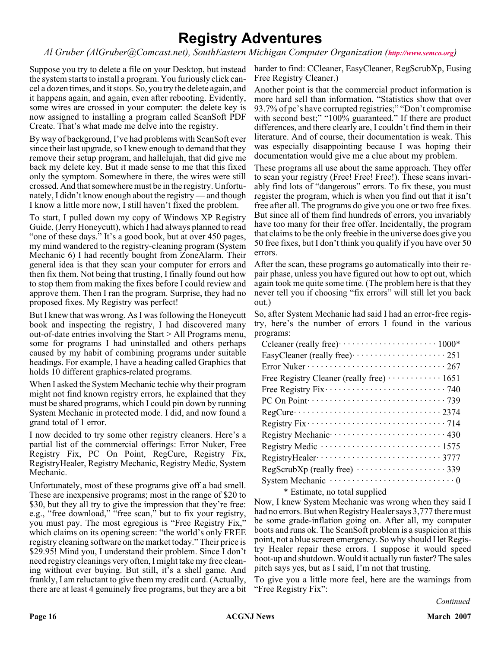### **Registry Adventures**

*Al Gruber (AlGruber@Comcast.net), SouthEastern Michigan Computer Organization (<http://www.semco.org>)*

Suppose you try to delete a file on your Desktop, but instead the system starts to install a program. You furiously click cancel a dozen times, and it stops. So, you try the delete again, and it happens again, and again, even after rebooting. Evidently, some wires are crossed in your computer: the delete key is now assigned to installing a program called ScanSoft PDF Create. That's what made me delve into the registry.

By way of background, I've had problems with ScanSoft ever since their last upgrade, so I knew enough to demand that they remove their setup program, and hallelujah, that did give me back my delete key. But it made sense to me that this fixed only the symptom. Somewhere in there, the wires were still crossed. And that somewhere must be in the registry. Unfortunately, I didn't know enough about the registry — and though I know a little more now, I still haven't fixed the problem.

To start, I pulled down my copy of Windows XP Registry Guide, (Jerry Honeycutt), which I had always planned to read "one of these days." It's a good book, but at over 450 pages, my mind wandered to the registry-cleaning program (System Mechanic 6) I had recently bought from ZoneAlarm. Their general idea is that they scan your computer for errors and then fix them. Not being that trusting, I finally found out how to stop them from making the fixes before I could review and approve them. Then I ran the program. Surprise, they had no proposed fixes. My Registry was perfect!

But I knew that was wrong. As I was following the Honeycutt book and inspecting the registry, I had discovered many out-of-date entries involving the Start > All Programs menu, some for programs I had uninstalled and others perhaps caused by my habit of combining programs under suitable headings. For example, I have a heading called Graphics that holds 10 different graphics-related programs.

When I asked the System Mechanic techie why their program might not find known registry errors, he explained that they must be shared programs, which I could pin down by running System Mechanic in protected mode. I did, and now found a grand total of 1 error.

I now decided to try some other registry cleaners. Here's a partial list of the commercial offerings: Error Nuker, Free Registry Fix, PC On Point, RegCure, Registry Fix, RegistryHealer, Registry Mechanic, Registry Medic, System Mechanic.

Unfortunately, most of these programs give off a bad smell. These are inexpensive programs; most in the range of \$20 to \$30, but they all try to give the impression that they're free: e.g., "free download," "free scan," but to fix your registry, you must pay. The most egregious is "Free Registry Fix," which claims on its opening screen: "the world's only FREE registry cleaning software on the market today." Their price is \$29.95! Mind you, I understand their problem. Since I don't need registry cleanings very often, I might take my free cleaning without ever buying. But still, it's a shell game. And frankly, I am reluctant to give them my credit card. (Actually, there are at least 4 genuinely free programs, but they are a bit

harder to find: CCleaner, EasyCleaner, RegScrubXp, Eusing Free Registry Cleaner.)

Another point is that the commercial product information is more hard sell than information. "Statistics show that over 93.7% of pc's have corrupted registries;" "Don't compromise with second best;" "100% guaranteed." If there are product differences, and there clearly are, I couldn't find them in their literature. And of course, their documentation is weak. This was especially disappointing because I was hoping their documentation would give me a clue about my problem.

These programs all use about the same approach. They offer to scan your registry (Free! Free! Free!). These scans invariably find lots of "dangerous" errors. To fix these, you must register the program, which is when you find out that it isn't free after all. The programs do give you one or two free fixes. But since all of them find hundreds of errors, you invariably have too many for their free offer. Incidentally, the program that claims to be the only freebie in the universe does give you 50 free fixes, but I don't think you qualify if you have over 50 errors.

After the scan, these programs go automatically into their repair phase, unless you have figured out how to opt out, which again took me quite some time. (The problem here is that they never tell you if choosing "fix errors" will still let you back out.)

So, after System Mechanic had said I had an error-free registry, here's the number of errors I found in the various programs:

| EasyCleaner (really free) ······················· 251                                    |
|------------------------------------------------------------------------------------------|
|                                                                                          |
| Free Registry Cleaner (really free) ············ 1651                                    |
|                                                                                          |
|                                                                                          |
| $RegCurve \cdots \cdots \cdots \cdots \cdots \cdots \cdots \cdots \cdots 2374$           |
| Registry $Fix \cdots \cdots \cdots \cdots \cdots \cdots \cdots \cdots \cdots \cdots$ 714 |
|                                                                                          |
|                                                                                          |
|                                                                                          |
|                                                                                          |
|                                                                                          |

\* Estimate, no total supplied

Now, I knew System Mechanic was wrong when they said I had no errors. But when Registry Healer says 3,777 there must be some grade-inflation going on. After all, my computer boots and runs ok. The ScanSoft problem is a suspicion at this point, not a blue screen emergency. So why should I let Registry Healer repair these errors. I suppose it would speed boot-up and shutdown. Would it actually run faster? The sales pitch says yes, but as I said, I'm not that trusting.

To give you a little more feel, here are the warnings from "Free Registry Fix":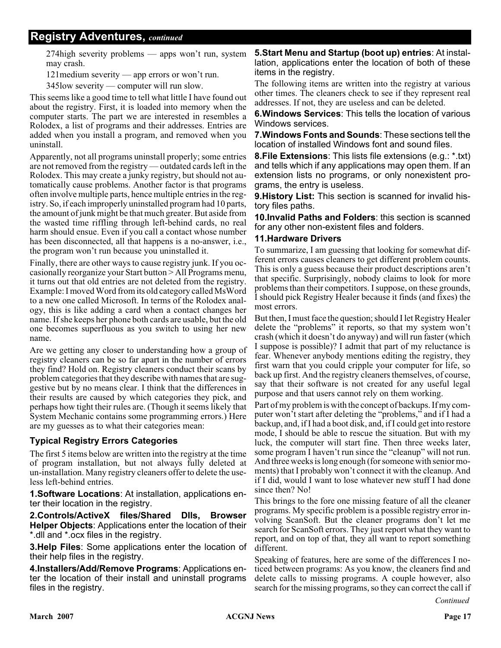#### **Registry Adventures,** *continued*

274high severity problems — apps won't run, system may crash.

121medium severity — app errors or won't run.

345low severity — computer will run slow.

This seems like a good time to tell what little I have found out about the registry. First, it is loaded into memory when the computer starts. The part we are interested in resembles a Rolodex, a list of programs and their addresses. Entries are added when you install a program, and removed when you uninstall.

Apparently, not all programs uninstall properly; some entries are not removed from the registry — outdated cards left in the Rolodex. This may create a junky registry, but should not automatically cause problems. Another factor is that programs often involve multiple parts, hence multiple entries in the registry. So, if each improperly uninstalled program had 10 parts, the amount of junk might be that much greater. But aside from the wasted time riffling through left-behind cards, no real harm should ensue. Even if you call a contact whose number has been disconnected, all that happens is a no-answer, i.e., the program won't run because you uninstalled it.

Finally, there are other ways to cause registry junk. If you occasionally reorganize your Start button > All Programs menu, it turns out that old entries are not deleted from the registry. Example: I moved Word from its old category called MsWord to a new one called Microsoft. In terms of the Rolodex analogy, this is like adding a card when a contact changes her name. If she keeps her phone both cards are usable, but the old one becomes superfluous as you switch to using her new name.

Are we getting any closer to understanding how a group of registry cleaners can be so far apart in the number of errors they find? Hold on. Registry cleaners conduct their scans by problem categories that they describe with names that are suggestive but by no means clear. I think that the differences in their results are caused by which categories they pick, and perhaps how tight their rules are. (Though it seems likely that System Mechanic contains some programming errors.) Here are my guesses as to what their categories mean:

#### **Typical Registry Errors Categories**

The first 5 items below are written into the registry at the time of program installation, but not always fully deleted at un-installation. Many registry cleaners offer to delete the useless left-behind entries.

**1.Software Locations**: At installation, applications enter their location in the registry.

**2.Controls/ActiveX files/Shared Dlls, Browser Helper Objects**: Applications enter the location of their \*.dll and \*.ocx files in the registry.

**3.Help Files**: Some applications enter the location of their help files in the registry.

**4.Installers/Add/Remove Programs**: Applications enter the location of their install and uninstall programs files in the registry.

**5.Start Menu and Startup (boot up) entries**: At installation, applications enter the location of both of these items in the registry.

The following items are written into the registry at various other times. The cleaners check to see if they represent real addresses. If not, they are useless and can be deleted.

**6.Windows Services**: This tells the location of various Windows services.

**7.Windows Fonts and Sounds**: These sections tell the location of installed Windows font and sound files.

**8.File Extensions**: This lists file extensions (e.g.: \*.txt) and tells which if any applications may open them. If an extension lists no programs, or only nonexistent programs, the entry is useless.

**9.History List:** This section is scanned for invalid history files paths.

**10.Invalid Paths and Folders**: this section is scanned for any other non-existent files and folders.

#### **11.Hardware Drivers**

To summarize, I am guessing that looking for somewhat different errors causes cleaners to get different problem counts. This is only a guess because their product descriptions aren't that specific. Surprisingly, nobody claims to look for more problems than their competitors. I suppose, on these grounds, I should pick Registry Healer because it finds (and fixes) the most errors.

But then, I must face the question; should I let Registry Healer delete the "problems" it reports, so that my system won't crash (which it doesn't do anyway) and will run faster (which I suppose is possible)? I admit that part of my reluctance is fear. Whenever anybody mentions editing the registry, they first warn that you could cripple your computer for life, so back up first. And the registry cleaners themselves, of course, say that their software is not created for any useful legal purpose and that users cannot rely on them working.

Part of my problem is with the concept of backups. If my computer won't start after deleting the "problems," and if I had a backup, and, if I had a boot disk, and, if I could get into restore mode, I should be able to rescue the situation. But with my luck, the computer will start fine. Then three weeks later, some program I haven't run since the "cleanup" will not run. And three weeks is long enough (for someone with senior moments) that I probably won't connect it with the cleanup. And if I did, would I want to lose whatever new stuff I had done since then? No!

This brings to the fore one missing feature of all the cleaner programs. My specific problem is a possible registry error involving ScanSoft. But the cleaner programs don't let me search for ScanSoft errors. They just report what they want to report, and on top of that, they all want to report something different.

Speaking of features, here are some of the differences I noticed between programs: As you know, the cleaners find and delete calls to missing programs. A couple however, also search for the missing programs, so they can correct the call if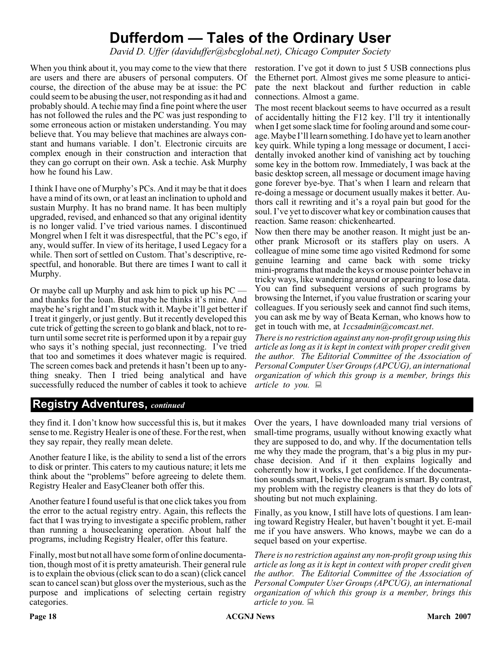### **Dufferdom — Tales of the Ordinary User**

*David D. Uffer (daviduffer@sbcglobal.net), Chicago Computer Society*

When you think about it, you may come to the view that there are users and there are abusers of personal computers. Of course, the direction of the abuse may be at issue: the PC could seem to be abusing the user, not responding as it had and probably should. A techie may find a fine point where the user has not followed the rules and the PC was just responding to some erroneous action or mistaken understanding. You may believe that. You may believe that machines are always constant and humans variable. I don't. Electronic circuits are complex enough in their construction and interaction that they can go corrupt on their own. Ask a techie. Ask Murphy how he found his Law.

I think I have one of Murphy's PCs. And it may be that it does have a mind of its own, or at least an inclination to uphold and sustain Murphy. It has no brand name. It has been multiply upgraded, revised, and enhanced so that any original identity is no longer valid. I've tried various names. I discontinued Mongrel when I felt it was disrespectful, that the PC's ego, if any, would suffer. In view of its heritage, I used Legacy for a while. Then sort of settled on Custom. That's descriptive, respectful, and honorable. But there are times I want to call it Murphy.

Or maybe call up Murphy and ask him to pick up his PC and thanks for the loan. But maybe he thinks it's mine. And maybe he's right and I'm stuck with it. Maybe it'll get better if I treat it gingerly, or just gently. But it recently developed this cute trick of getting the screen to go blank and black, not to return until some secret rite is performed upon it by a repair guy who says it's nothing special, just reconnecting. I've tried that too and sometimes it does whatever magic is required. The screen comes back and pretends it hasn't been up to anything sneaky. Then I tried being analytical and have successfully reduced the number of cables it took to achieve

restoration. I've got it down to just 5 USB connections plus the Ethernet port. Almost gives me some pleasure to anticipate the next blackout and further reduction in cable connections. Almost a game.

The most recent blackout seems to have occurred as a result of accidentally hitting the F12 key. I'll try it intentionally when I get some slack time for fooling around and some courage. Maybe I'll learn something. I do have yet to learn another key quirk. While typing a long message or document, I accidentally invoked another kind of vanishing act by touching some key in the bottom row. Immediately, I was back at the basic desktop screen, all message or document image having gone forever bye-bye. That's when I learn and relearn that re-doing a message or document usually makes it better. Authors call it rewriting and it's a royal pain but good for the soul. I've yet to discover what key or combination causes that reaction. Same reason: chickenhearted.

Now then there may be another reason. It might just be another prank Microsoft or its staffers play on users. A colleague of mine some time ago visited Redmond for some genuine learning and came back with some tricky mini-programs that made the keys or mouse pointer behave in tricky ways, like wandering around or appearing to lose data. You can find subsequent versions of such programs by browsing the Internet, if you value frustration or scaring your colleagues. If you seriously seek and cannot find such items, you can ask me by way of Beata Kernan, who knows how to get in touch with me, at *1ccsadmin@comcast.net*.

*There is no restriction against any non-profit group using this article as long as it is kept in context with proper credit given the author. The Editorial Committee of the Association of Personal Computer User Groups (APCUG), an international organization of which this group is a member, brings this article to you.*

#### **Registry Adventures,** *continued*

they find it. I don't know how successful this is, but it makes sense to me. Registry Healer is one of these. For the rest, when they say repair, they really mean delete.

Another feature I like, is the ability to send a list of the errors to disk or printer. This caters to my cautious nature; it lets me think about the "problems" before agreeing to delete them. Registry Healer and EasyCleaner both offer this.

Another feature I found useful is that one click takes you from the error to the actual registry entry. Again, this reflects the fact that I was trying to investigate a specific problem, rather than running a housecleaning operation. About half the programs, including Registry Healer, offer this feature.

Finally, most but not all have some form of online documentation, though most of it is pretty amateurish. Their general rule is to explain the obvious (click scan to do a scan) (click cancel scan to cancel scan) but gloss over the mysterious, such as the purpose and implications of selecting certain registry categories.

Over the years, I have downloaded many trial versions of small-time programs, usually without knowing exactly what they are supposed to do, and why. If the documentation tells me why they made the program, that's a big plus in my purchase decision. And if it then explains logically and coherently how it works, I get confidence. If the documentation sounds smart, I believe the program is smart. By contrast, my problem with the registry cleaners is that they do lots of shouting but not much explaining.

Finally, as you know, I still have lots of questions. I am leaning toward Registry Healer, but haven't bought it yet. E-mail me if you have answers. Who knows, maybe we can do a sequel based on your expertise.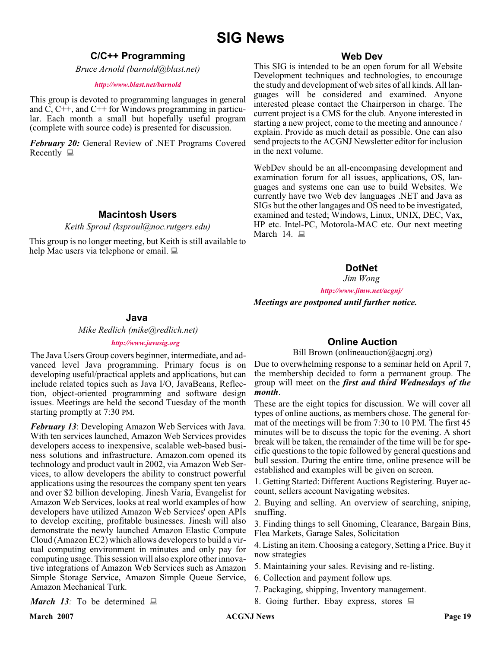### **SIG News**

#### **C/C++ Programming**

*Bruce Arnold (barnold@blast.net)*

#### *<http://www.blast.net/barnold>*

This group is devoted to programming languages in general and C, C++, and C++ for Windows programming in particular. Each month a small but hopefully useful program (complete with source code) is presented for discussion.

*February 20:* General Review of .NET Programs Covered Recently  $\Box$ 

#### **Macintosh Users**

*Keith Sproul (ksproul@noc.rutgers.edu)*

This group is no longer meeting, but Keith is still available to help Mac users via telephone or email.

#### **Web Dev**

This SIG is intended to be an open forum for all Website Development techniques and technologies, to encourage the study and development of web sites of all kinds. All languages will be considered and examined. Anyone interested please contact the Chairperson in charge. The current project is a CMS for the club. Anyone interested in starting a new project, come to the meeting and announce / explain. Provide as much detail as possible. One can also send projects to the ACGNJ Newsletter editor for inclusion in the next volume.

WebDev should be an all-encompasing development and examination forum for all issues, applications, OS, languages and systems one can use to build Websites. We currently have two Web dev languages .NET and Java as SIGs but the other langages and OS need to be investigated, examined and tested; Windows, Linux, UNIX, DEC, Vax, HP etc. Intel-PC, Motorola-MAC etc. Our next meeting March 14.  $\Box$ 

#### **DotNet**

*Jim Wong*

*<http://www.jimw.net/acgnj/>*

#### *Meetings are postponed until further notice.*

#### **Java**

*Mike Redlich (mike@redlich.net)*

#### *<http://www.javasig.org>*

The Java Users Group covers beginner, intermediate, and advanced level Java programming. Primary focus is on developing useful/practical applets and applications, but can include related topics such as Java I/O, JavaBeans, Reflection, object-oriented programming and software design issues. Meetings are held the second Tuesday of the month starting promptly at 7:30 PM.

*February 13*: Developing Amazon Web Services with Java. With ten services launched, Amazon Web Services provides developers access to inexpensive, scalable web-based business solutions and infrastructure. Amazon.com opened its technology and product vault in 2002, via Amazon Web Services, to allow developers the ability to construct powerful applications using the resources the company spent ten years and over \$2 billion developing. Jinesh Varia, Evangelist for Amazon Web Services, looks at real world examples of how developers have utilized Amazon Web Services' open APIs to develop exciting, profitable businesses. Jinesh will also demonstrate the newly launched Amazon Elastic Compute Cloud (Amazon EC2) which allows developers to build a virtual computing environment in minutes and only pay for computing usage. This session will also explore other innovative integrations of Amazon Web Services such as Amazon Simple Storage Service, Amazon Simple Queue Service, Amazon Mechanical Turk.

#### **Online Auction**

Bill Brown (onlineauction  $(\partial \alpha)$  acgniorg)

Due to overwhelming response to a seminar held on April 7, the membership decided to form a permanent group. The group will meet on the *first and third Wednesdays of the month*.

These are the eight topics for discussion. We will cover all types of online auctions, as members chose. The general format of the meetings will be from 7:30 to 10 PM. The first 45 minutes will be to discuss the topic for the evening. A short break will be taken, the remainder of the time will be for specific questions to the topic followed by general questions and bull session. During the entire time, online presence will be established and examples will be given on screen.

1. Getting Started: Different Auctions Registering. Buyer account, sellers account Navigating websites.

2. Buying and selling. An overview of searching, sniping, snuffing.

3. Finding things to sell Gnoming, Clearance, Bargain Bins, Flea Markets, Garage Sales, Solicitation

4. Listing an item. Choosing a category, Setting a Price. Buy it now strategies

- 5. Maintaining your sales. Revising and re-listing.
- 6. Collection and payment follow ups.
- 7. Packaging, shipping, Inventory management.
- 8. Going further. Ebay express, stores  $\Box$

*March 13:* To be determined  $\Box$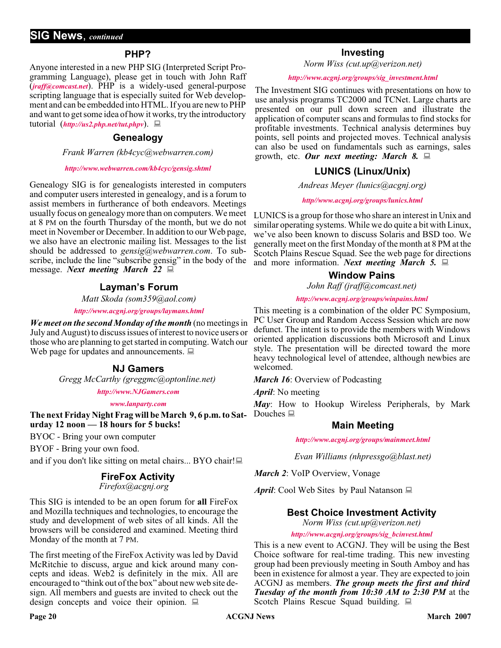#### **PHP?**

Anyone interested in a new PHP SIG (Interpreted Script Programming Language), please get in touch with John Raff (*[jraff@comcast.net](mailto:jraff@comcast.net)*). PHP is a widely-used general-purpose scripting language that is especially suited for Web development and can be embedded into HTML. If you are new to PHP and want to get some idea of how it works, try the introductory tutorial (*<http://us2.php.net/tut.phpv>*).

#### **Genealogy**

*Frank Warren (kb4cyc@webwarren.com)*

#### *<http://www.webwarren.com/kb4cyc/gensig.shtml>*

Genealogy SIG is for genealogists interested in computers and computer users interested in genealogy, and is a forum to assist members in furtherance of both endeavors. Meetings usually focus on genealogy more than on computers. We meet at 8 PM on the fourth Thursday of the month, but we do not meet in November or December. In addition to our Web page, we also have an electronic mailing list. Messages to the list should be addressed to *gensig@webwarren.com*. To subscribe, include the line "subscribe gensig" in the body of the message. *Next meeting March 22*

#### **Layman's Forum**

*Matt Skoda (som359@aol.com)*

*<http://www.acgnj.org/groups/laymans.html>*

*We meet on the second Monday of the month* (no meetings in July and August) to discuss issues of interest to novice users or those who are planning to get started in computing. Watch our Web page for updates and announcements.  $\Box$ 

#### **NJ Gamers**

*Gregg McCarthy (greggmc@optonline.net)*

*<http://www.NJGamers.com>*

*[www.lanparty.com](http://www.lanparty.com)*

**The next Friday Night Frag will be March 9, 6 p.m. to Saturday 12 noon — 18 hours for 5 bucks!**

BYOC - Bring your own computer

BYOF - Bring your own food.

and if you don't like sitting on metal chairs... BYO chair!

#### **FireFox Activity**

*Firefox@acgnj.org*

This SIG is intended to be an open forum for **all** FireFox and Mozilla techniques and technologies, to encourage the study and development of web sites of all kinds. All the browsers will be considered and examined. Meeting third Monday of the month at 7 PM.

The first meeting of the FireFox Activity was led by David McRitchie to discuss, argue and kick around many concepts and ideas. Web2 is definitely in the mix. All are encouraged to "think out of the box" about new web site design. All members and guests are invited to check out the design concepts and voice their opinion.  $\Box$ 

#### **Investing**

*Norm Wiss (cut.up@verizon.net)*

#### *[http://www.acgnj.org/groups/sig\\_investment.html](http://www.acgnj.org/groups/sig_investment.html)*

The Investment SIG continues with presentations on how to use analysis programs TC2000 and TCNet. Large charts are presented on our pull down screen and illustrate the application of computer scans and formulas to find stocks for profitable investments. Technical analysis determines buy points, sell points and projected moves. Technical analysis can also be used on fundamentals such as earnings, sales growth, etc. *Our next meeting: March 8.*

#### **LUNICS (Linux/Unix)**

*Andreas Meyer (lunics@acgnj.org)*

#### *<http//www.acgnj.org/groups/lunics.html>*

LUNICS is a group for those who share an interest in Unix and similar operating systems. While we do quite a bit with Linux, we've also been known to discuss Solaris and BSD too. We generally meet on the first Monday of the month at 8 PM at the Scotch Plains Rescue Squad. See the web page for directions and more information. *Next meeting March 5.*

#### **Window Pains**

*John Raff (jraff@comcast.net)*

#### *<http://www.acgnj.org/groups/winpains.html>*

This meeting is a combination of the older PC Symposium, PC User Group and Random Access Session which are now defunct. The intent is to provide the members with Windows oriented application discussions both Microsoft and Linux style. The presentation will be directed toward the more heavy technological level of attendee, although newbies are welcomed.

*March 16*: Overview of Podcasting

*April*: No meeting

*May*: How to Hookup Wireless Peripherals, by Mark Douches  $\Box$ 

#### **Main Meeting**

*<http://www.acgnj.org/groups/mainmeet.html>*

*Evan Williams (nhpressgo@blast.net)*

*March 2*: VoIP Overview, Vonage

*April*: Cool Web Sites by Paul Natanson ■

#### **Best Choice Investment Activity**

*Norm Wiss (cut.up@verizon.net)*

*[http://www.acgnj.org/groups/sig\\_bcinvest.html](http://www.acgnj.org/groups/sig_bcinvest.html)*

This is a new event to ACGNJ. They will be using the Best Choice software for real-time trading. This new investing group had been previously meeting in South Amboy and has been in existence for almost a year. They are expected to join ACGNJ as members. *The group meets the first and third Tuesday of the month from 10:30 AM to 2:30 PM* at the Scotch Plains Rescue Squad building.  $\Box$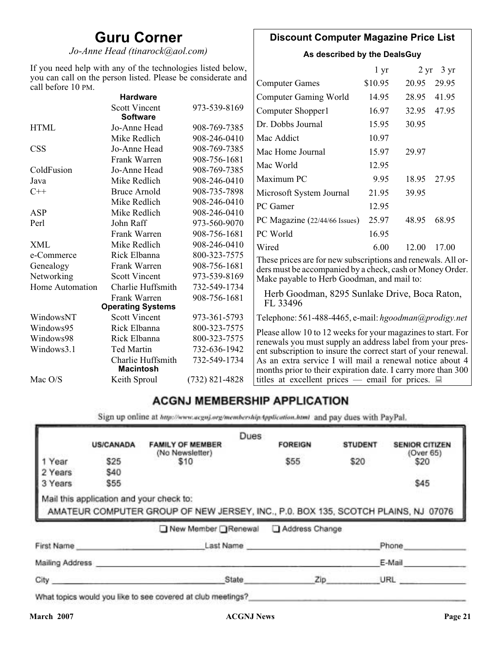### **Guru Corner**

*Jo-Anne Head (tinarock@aol.com)*

#### **Discount Computer Magazine Price List**

**As described by the DealsGuy**

| If you need help with any of the technologies listed below,                        |                                         |                       | $1 \, yr$                                                                                                                |       | $2 \text{ yr}$ 3 yr |       |
|------------------------------------------------------------------------------------|-----------------------------------------|-----------------------|--------------------------------------------------------------------------------------------------------------------------|-------|---------------------|-------|
| you can call on the person listed. Please be considerate and<br>call before 10 PM. |                                         | <b>Computer Games</b> | \$10.95                                                                                                                  | 20.95 | 29.95               |       |
|                                                                                    | <b>Hardware</b>                         |                       | <b>Computer Gaming World</b>                                                                                             | 14.95 | 28.95               | 41.95 |
|                                                                                    | <b>Scott Vincent</b><br><b>Software</b> | 973-539-8169          | Computer Shopper1                                                                                                        | 16.97 | 32.95               | 47.95 |
| <b>HTML</b>                                                                        | Jo-Anne Head                            | 908-769-7385          | Dr. Dobbs Journal                                                                                                        | 15.95 | 30.95               |       |
|                                                                                    | Mike Redlich                            | 908-246-0410          | Mac Addict                                                                                                               | 10.97 |                     |       |
| <b>CSS</b>                                                                         | Jo-Anne Head                            | 908-769-7385          | Mac Home Journal                                                                                                         | 15.97 | 29.97               |       |
|                                                                                    | Frank Warren                            | 908-756-1681          | Mac World                                                                                                                | 12.95 |                     |       |
| ColdFusion                                                                         | Jo-Anne Head                            | 908-769-7385          |                                                                                                                          |       |                     |       |
| Java                                                                               | Mike Redlich                            | 908-246-0410          | Maximum PC                                                                                                               | 9.95  | 18.95               | 27.95 |
| $C++$                                                                              | <b>Bruce Arnold</b>                     | 908-735-7898          | Microsoft System Journal                                                                                                 | 21.95 | 39.95               |       |
|                                                                                    | Mike Redlich                            | 908-246-0410          | PC Gamer                                                                                                                 | 12.95 |                     |       |
| <b>ASP</b>                                                                         | Mike Redlich                            | 908-246-0410          |                                                                                                                          |       |                     |       |
| Perl                                                                               | John Raff                               | 973-560-9070          | PC Magazine (22/44/66 Issues)                                                                                            | 25.97 | 48.95               | 68.95 |
|                                                                                    | Frank Warren                            | 908-756-1681          | PC World                                                                                                                 | 16.95 |                     |       |
| <b>XML</b>                                                                         | Mike Redlich                            | 908-246-0410          | Wired                                                                                                                    | 6.00  | 12.00               | 17.00 |
| e-Commerce                                                                         | Rick Elbanna                            | 800-323-7575          | These prices are for new subscriptions and renewals. All or-                                                             |       |                     |       |
| Genealogy                                                                          | Frank Warren                            | 908-756-1681          | ders must be accompanied by a check, cash or Money Order.                                                                |       |                     |       |
| Networking                                                                         | <b>Scott Vincent</b>                    | 973-539-8169          | Make payable to Herb Goodman, and mail to:                                                                               |       |                     |       |
| Home Automation                                                                    | Charlie Huffsmith                       | 732-549-1734          |                                                                                                                          |       |                     |       |
|                                                                                    | Frank Warren                            | 908-756-1681          | Herb Goodman, 8295 Sunlake Drive, Boca Raton,                                                                            |       |                     |       |
|                                                                                    | <b>Operating Systems</b>                |                       | FL 33496                                                                                                                 |       |                     |       |
| WindowsNT                                                                          | <b>Scott Vincent</b>                    | 973-361-5793          | Telephone: 561-488-4465, e-mail: hgoodman@prodigy.net                                                                    |       |                     |       |
| Windows95                                                                          | Rick Elbanna                            | 800-323-7575          | Please allow 10 to 12 weeks for your magazines to start. For                                                             |       |                     |       |
| Windows98                                                                          | Rick Elbanna                            | 800-323-7575          | renewals you must supply an address label from your pres-                                                                |       |                     |       |
| Windows3.1                                                                         | <b>Ted Martin</b>                       | 732-636-1942          | ent subscription to insure the correct start of your renewal.                                                            |       |                     |       |
|                                                                                    | Charlie Huffsmith<br><b>Macintosh</b>   | 732-549-1734          | As an extra service I will mail a renewal notice about 4<br>months prior to their expiration date. I carry more than 300 |       |                     |       |
| Mac O/S                                                                            | Keith Sproul                            | $(732)$ 821-4828      | titles at excellent prices — email for prices. $\Box$                                                                    |       |                     |       |

### **ACGNJ MEMBERSHIP APPLICATION**

Sign up online at http://www.acguj.org/membershipApplication.html and pay dues with PayPal.

|                 |                                          |                                                                                   | Dues |                |                |                       |
|-----------------|------------------------------------------|-----------------------------------------------------------------------------------|------|----------------|----------------|-----------------------|
|                 | <b>US/CANADA</b>                         | <b>FAMILY OF MEMBER</b>                                                           |      | <b>FOREIGN</b> | <b>STUDENT</b> | <b>SENIOR CITIZEN</b> |
| 1 Year          | \$25                                     | (No Newsletter)<br>\$10                                                           |      | \$55           | \$20           | (Over 65)<br>\$20     |
| 2 Years         | \$40                                     |                                                                                   |      |                |                |                       |
| 3 Years         | \$55                                     |                                                                                   |      |                |                | \$45                  |
|                 | Mail this application and your check to: | AMATEUR COMPUTER GROUP OF NEW JERSEY, INC., P.0. BOX 135, SCOTCH PLAINS, NJ 07076 |      |                |                |                       |
|                 |                                          | ■ New Member Renewal                                                              |      | Address Change |                |                       |
| First Name      |                                          |                                                                                   |      | Last Name      |                | Phone                 |
| Mailing Address |                                          |                                                                                   |      |                |                | E-Mail                |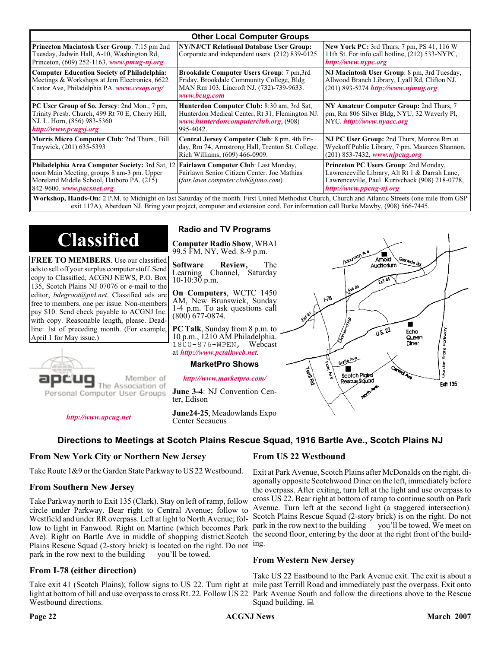| <b>Other Local Computer Groups</b>                                                                                                                                             |                                                                                                                                                    |                                                                                                                                                                                                                                                                                                                         |  |  |  |
|--------------------------------------------------------------------------------------------------------------------------------------------------------------------------------|----------------------------------------------------------------------------------------------------------------------------------------------------|-------------------------------------------------------------------------------------------------------------------------------------------------------------------------------------------------------------------------------------------------------------------------------------------------------------------------|--|--|--|
| <b>Princeton Macintosh User Group:</b> 7:15 pm 2nd<br>Tuesday, Jadwin Hall, A-10, Washington Rd,<br>Princeton, $(609)$ 252-1163, www.pmug-nj.org                               | NY/NJ/CT Relational Database User Group:<br>Corporate and independent users. (212) 839-0125                                                        | <b>New York PC:</b> 3rd Thurs, 7 pm, PS 41, 116 W<br>11th St. For info call hotline, (212) 533-NYPC,<br>http://www.nypc.org                                                                                                                                                                                             |  |  |  |
| <b>Computer Education Society of Philadelphia:</b><br>Meetings & Workshops at Jem Electronics, 6622<br>Castor Ave, Philadelphia PA. www.cesop.org/                             | Brookdale Computer Users Group: 7 pm, 3rd<br>Friday, Brookdale Community College, Bldg<br>MAN Rm 103, Lincroft NJ. (732)-739-9633.<br>www.bcug.com | NJ Macintosh User Group: 8 pm, 3rd Tuesday,<br>Allwood Branch Library, Lyall Rd, Clifton NJ.<br>$(201) 893 - 5274$ http://www.njmug.org.                                                                                                                                                                                |  |  |  |
| PC User Group of So. Jersey: 2nd Mon., 7 pm,<br>Trinity Presb. Church, 499 Rt 70 E, Cherry Hill,<br>NJ. L. Horn, (856) 983-5360<br>http://www.pcugsj.org                       | Hunterdon Computer Club: 8:30 am, 3rd Sat,<br>Hunterdon Medical Center, Rt 31, Flemington NJ.<br>www.hunterdoncomputerclub.org. (908)<br>995-4042. | NY Amateur Computer Group: 2nd Thurs, 7<br>pm, Rm 806 Silver Bldg, NYU, 32 Waverly Pl,<br>NYC http://www.nyacc.org                                                                                                                                                                                                      |  |  |  |
| Morris Micro Computer Club: 2nd Thurs., Bill<br>Traywick, (201) 635-5393                                                                                                       | Central Jersey Computer Club: 8 pm, 4th Fri-<br>day, Rm 74, Armstrong Hall, Trenton St. College.<br>Rich Williams, (609) 466-0909.                 | NJ PC User Group: 2nd Thurs, Monroe Rm at<br>Wyckoff Public Library, 7 pm. Maureen Shannon,<br>$(201)$ 853-7432, www.njpcug.org                                                                                                                                                                                         |  |  |  |
| <b>Philadelphia Area Computer Society: 3rd Sat, 12</b><br>noon Main Meeting, groups 8 am-3 pm. Upper<br>Moreland Middle School, Hatboro PA. (215)<br>842-9600. www.pacsnet.org | Fairlawn Computer Club: Last Monday,<br>Fairlawn Senior Citizen Center. Joe Mathias<br>(fair, lawn, computer, club@juno.com)                       | Princeton PC Users Group: 2nd Monday,<br>Lawrenceville Library, Alt Rt 1 & Darrah Lane,<br>Lawrenceville, Paul Kurivchack (908) 218-0778,<br>http://www.ppcug-nj.org<br>Workshap Hands-On: 2 PM to Midnight on last Saturday of the month First United Methodist Church Church and Atlantic Streets (one mile from GSP) |  |  |  |

P.M. to Midnight on last Saturday of the month. First United Methodist Church, Church and Atlantic Streets exit 117A), Aberdeen NJ. Bring your project, computer and extension cord. For information call Burke Mawby, (908) 566-7445.

# **Classified**

**FREE TO MEMBERS**. Use our classified ads to sell off your surplus computer stuff. Send copy to Classified, ACGNJ NEWS, P.O. Box 135, Scotch Plains NJ 07076 or e-mail to the editor, *bdegroot@ptd.net*. Classified ads are free to members, one per issue. Non-members pay \$10. Send check payable to ACGNJ Inc. with copy. Reasonable length, please. Deadline: 1st of preceding month. (For example, April 1 for May issue.)



Member of

Personal Computer User Groups

#### **Radio and TV Programs**

**Computer Radio Show**, WBAI 99.5 FM, NY, Wed. 8-9 p.m.

**Software Review,** The Channel, Saturday  $10-10:30$  p.m.

**On Computers**, WCTC 1450 AM, New Brunswick, Sunday 1-4 p.m. To ask questions call (800) 677-0874.

**PC Talk**, Sunday from 8 p.m. to 10 p.m., 1210 AM Philadelphia. 1800-876-WPEN, Webcast at *<http://www.pctalkweb.net>*.

#### **MarketPro Shows**

*<http://www.marketpro.com/>*

**June 3-4**: NJ Convention Center, Edison

*<http://www.apcug.net>*

**June24-25**, Meadowlands Expo Center Secaucus

#### **Directions to Meetings at Scotch Plains Rescue Squad, 1916 Bartle Ave., Scotch Plains NJ**

#### **From New York City or Northern New Jersey**

Take Route 1&9 or the Garden State Parkway to US 22 Westbound.

#### **From Southern New Jersey**

Take Parkway north to Exit 135 (Clark). Stay on left of ramp, follow circle under Parkway. Bear right to Central Avenue; follow to Westfield and under RR overpass. Left at light to North Avenue; follow to light in Fanwood. Right on Martine (which becomes Park Ave). Right on Bartle Ave in middle of shopping district.Scotch Plains Rescue Squad (2-story brick) is located on the right. Do not park in the row next to the building — you'll be towed.

#### **From I-78 (either direction)**

Take exit 41 (Scotch Plains); follow signs to US 22. Turn right at mile past Terrill Road and immediately past the overpass. Exit onto light at bottom of hill and use overpass to cross Rt. 22. Follow US 22 Park Avenue South and follow the directions above to the Rescue Westbound directions.

#### **From US 22 Westbound**

Territors

 $178$ 

Borle Ave

Scotch Pigins

Rescue Sound

Exit at Park Avenue, Scotch Plains after McDonalds on the right, diagonally opposite Scotchwood Diner on the left, immediately before the overpass. After exiting, turn left at the light and use overpass to cross US 22. Bear right at bottom of ramp to continue south on Park Avenue. Turn left at the second light (a staggered intersection). Scotch Plains Rescue Squad (2-story brick) is on the right. Do not park in the row next to the building — you'll be towed. We meet on the second floor, entering by the door at the right front of the building.

Amold Auditorium

 $\sqrt{1.5.22}$ 

ш

Echo

Queen Diner

Garden State Park

**Ext1 135** 

#### **From Western New Jersey**

Take US 22 Eastbound to the Park Avenue exit. The exit is about a Squad building.  $\Box$